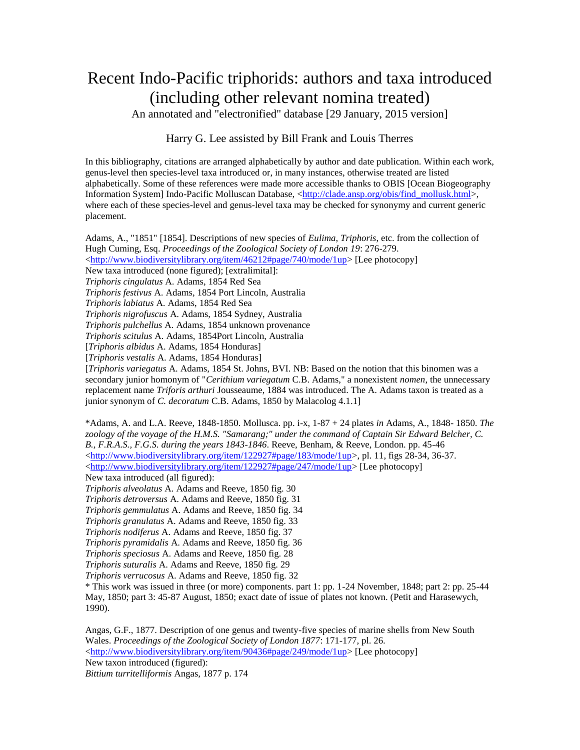## Recent Indo-Pacific triphorids: authors and taxa introduced (including other relevant nomina treated)

An annotated and "electronified" database [29 January, 2015 version]

## Harry G. Lee assisted by Bill Frank and Louis Therres

In this bibliography, citations are arranged alphabetically by author and date publication. Within each work, genus-level then species-level taxa introduced or, in many instances, otherwise treated are listed alphabetically. Some of these references were made more accessible thanks to OBIS [Ocean Biogeography Information System] Indo-Pacific Molluscan Database, [<http://clade.ansp.org/obis/find\\_mollusk.html>](http://clade.ansp.org/obis/find_mollusk.html), where each of these species-level and genus-level taxa may be checked for synonymy and current generic placement.

Adams, A., "1851" [1854]. Descriptions of new species of *Eulima, Triphoris*, etc. from the collection of Hugh Cuming, Esq. *Proceedings of the Zoological Society of London 19*: 276-279.

[<http://www.biodiversitylibrary.org/item/46212#page/740/mode/1up>](http://www.biodiversitylibrary.org/item/46212#page/740/mode/1up) [Lee photocopy]

New taxa introduced (none figured); [extralimital]:

*Triphoris cingulatus* A. Adams, 1854 Red Sea

*Triphoris festivus* A. Adams, 1854 Port Lincoln, Australia

*Triphoris labiatus* A. Adams, 1854 Red Sea

*Triphoris nigrofuscus* A. Adams, 1854 Sydney, Australia

*Triphoris pulchellus* A. Adams, 1854 unknown provenance

*Triphoris scitulus* A. Adams, 1854Port Lincoln, Australia

[*Triphoris albidus* A. Adams, 1854 Honduras]

[*Triphoris vestalis* A. Adams, 1854 Honduras]

[*Triphoris variegatus* A. Adams, 1854 St. Johns, BVI. NB: Based on the notion that this binomen was a secondary junior homonym of "*Cerithium variegatum* C.B. Adams," a nonexistent *nomen*, the unnecessary replacement name *Triforis arthuri* Jousseaume, 1884 was introduced. The A. Adams taxon is treated as a junior synonym of *C. decoratum* C.B. Adams, 1850 by Malacolog 4.1.1]

\*Adams, A. and L.A. Reeve, 1848-1850. Mollusca. pp. i-x, 1-87 + 24 plates *in* Adams, A., 1848- 1850. *The*  zoology of the voyage of the H.M.S. "Samarang;" under the command of Captain Sir Edward Belcher, C. *B., F.R.A.S., F.G.S. during the years 1843-1846*. Reeve, Benham, & Reeve, London. pp. 45-46  $\langle \frac{http://www.biodiversitylibrary.org/item/122927#page/183/mode/1up>}{http://www.biodiversitylibrary.org/item/122927#page/183/mode/1up>}, pl. 11, figs 28-34, 36-37.$  $\langle$ http://www.biodiversitylibrary.org/item/122927#page/247/mode/1up> [Lee photocopy]

New taxa introduced (all figured):

*Triphoris alveolatus* A. Adams and Reeve, 1850 fig. 30

*Triphoris detroversus* A. Adams and Reeve, 1850 fig. 31

*Triphoris gemmulatus* A. Adams and Reeve, 1850 fig. 34

*Triphoris granulatus* A. Adams and Reeve, 1850 fig. 33

*Triphoris nodiferus* A. Adams and Reeve, 1850 fig. 37

*Triphoris pyramidalis* A. Adams and Reeve, 1850 fig. 36

*Triphoris speciosus* A. Adams and Reeve, 1850 fig. 28

*Triphoris suturalis* A. Adams and Reeve, 1850 fig. 29

*Triphoris verrucosus* A. Adams and Reeve, 1850 fig. 32

\* This work was issued in three (or more) components. part 1: pp. 1-24 November, 1848; part 2: pp. 25-44 May, 1850; part 3: 45-87 August, 1850; exact date of issue of plates not known. (Petit and Harasewych, 1990).

Angas, G.F., 1877. Description of one genus and twenty-five species of marine shells from New South Wales. *Proceedings of the Zoological Society of London 1877*: 171-177, pl. 26. [<http://www.biodiversitylibrary.org/item/90436#page/249/mode/1up>](http://www.biodiversitylibrary.org/item/90436#page/249/mode/1up) [Lee photocopy] New taxon introduced (figured):

*Bittium turritelliformis* Angas, 1877 p. 174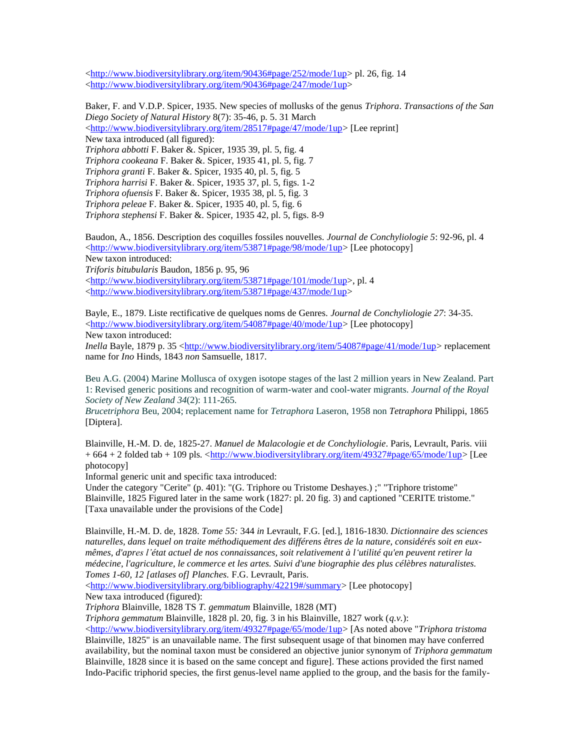[<http://www.biodiversitylibrary.org/item/90436#page/252/mode/1up>](http://www.biodiversitylibrary.org/item/90436#page/252/mode/1up) pl. 26, fig. 14 [<http://www.biodiversitylibrary.org/item/90436#page/247/mode/1up>](http://www.biodiversitylibrary.org/item/90436#page/247/mode/1up)

Baker, F. and V.D.P. Spicer, 1935. New species of mollusks of the genus *Triphora*. *Transactions of the San Diego Society of Natural History* 8(7): 35-46, p. 5. 31 March [<http://www.biodiversitylibrary.org/item/28517#page/47/mode/1up>](http://www.biodiversitylibrary.org/item/28517#page/47/mode/1up) [Lee reprint] New taxa introduced (all figured): *Triphora abbotti* F. Baker &. Spicer, 1935 39, pl. 5, fig. 4 *Triphora cookeana* F. Baker &. Spicer, 1935 41, pl. 5, fig. 7 *Triphora granti* F. Baker &. Spicer, 1935 40, pl. 5, fig. 5 *Triphora harrisi* F. Baker &. Spicer, 1935 37, pl. 5, figs. 1-2 *Triphora ofuensis* F. Baker &. Spicer, 1935 38, pl. 5, fig. 3 *Triphora peleae* F. Baker &. Spicer, 1935 40, pl. 5, fig. 6 *Triphora stephensi* F. Baker &. Spicer, 1935 42, pl. 5, figs. 8-9 Baudon, A., 1856. Description des coquilles fossiles nouvelles. *Journal de Conchyliologie 5*: 92-96, pl. 4

[<http://www.biodiversitylibrary.org/item/53871#page/98/mode/1up>](http://www.biodiversitylibrary.org/item/53871#page/98/mode/1up) [Lee photocopy] New taxon introduced: *Triforis bitubularis* Baudon, 1856 p. 95, 96 [<http://www.biodiversitylibrary.org/item/53871#page/101/mode/1up>](http://www.biodiversitylibrary.org/item/53871#page/101/mode/1up), pl. 4 [<http://www.biodiversitylibrary.org/item/53871#page/437/mode/1up>](http://www.biodiversitylibrary.org/item/53871#page/437/mode/1up)

Bayle, E., 1879. Liste rectificative de quelques noms de Genres. *Journal de Conchyliologie 27*: 34-35. [<http://www.biodiversitylibrary.org/item/54087#page/40/mode/1up>](http://www.biodiversitylibrary.org/item/54087#page/40/mode/1up) [Lee photocopy] New taxon introduced:

*Inella* Bayle, 1879 p. 35 [<http://www.biodiversitylibrary.org/item/54087#page/41/mode/1up>](http://www.biodiversitylibrary.org/item/54087#page/41/mode/1up) replacement name for *Ino* Hinds, 1843 *non* Samsuelle, 1817.

Beu A.G. (2004) Marine Mollusca of oxygen isotope stages of the last 2 million years in New Zealand. Part 1: Revised generic positions and recognition of warm-water and cool-water migrants. *Journal of the Royal Society of New Zealand 34*(2): 111-265.

*Brucetriphora* Beu, 2004; replacement name for *Tetraphora* Laseron, 1958 non *Tetraphora* Philippi, 1865 [Diptera].

Blainville, H.-M. D. de, 1825-27. *Manuel de Malacologie et de Conchyliologie*. Paris, Levrault, Paris. viii + 664 + 2 folded tab + 109 pls. [<http://www.biodiversitylibrary.org/item/49327#page/65/mode/1up>](http://www.biodiversitylibrary.org/item/49327#page/65/mode/1up) [Lee photocopy]

Informal generic unit and specific taxa introduced:

Under the category "Cerite" (p. 401): "(G. Triphore ou Tristome Deshayes.) ;" "Triphore tristome" Blainville, 1825 Figured later in the same work (1827: pl. 20 fig. 3) and captioned "CERITE tristome." [Taxa unavailable under the provisions of the Code]

Blainville, H.-M. D. de, 1828. *Tome 55:* 344 *in* Levrault, F.G. [ed.], 1816-1830. *Dictionnaire des sciences naturelles, dans lequel on traite méthodiquement des différens êtres de la nature, considérés soit en euxmêmes, d'apres l'état actuel de nos connaissances, soit relativement à l'utilité qu'en peuvent retirer la médecine, l'agriculture, le commerce et les artes. Suivi d'une biographie des plus célèbres naturalistes. Tomes 1-60, 12 [atlases of] Planches.* F.G. Levrault, Paris.

[<http://www.biodiversitylibrary.org/bibliography/42219#/summary>](http://www.biodiversitylibrary.org/bibliography/42219#/summary) [Lee photocopy] New taxa introduced (figured):

*Triphora* Blainville, 1828 TS *T. gemmatum* Blainville, 1828 (MT)

*Triphora gemmatum* Blainville, 1828 pl. 20, fig. 3 in his Blainville, 1827 work (*q.v.*):

 $\langle \frac{\text{http://www.biodiversitylibrary.org/item/49327#page/65/mode/1up}{\text{page}}$  [As noted above "*Triphora tristoma* Blainville, 1825" is an unavailable name. The first subsequent usage of that binomen may have conferred availability, but the nominal taxon must be considered an objective junior synonym of *Triphora gemmatum* Blainville, 1828 since it is based on the same concept and figure]. These actions provided the first named Indo-Pacific triphorid species, the first genus-level name applied to the group, and the basis for the family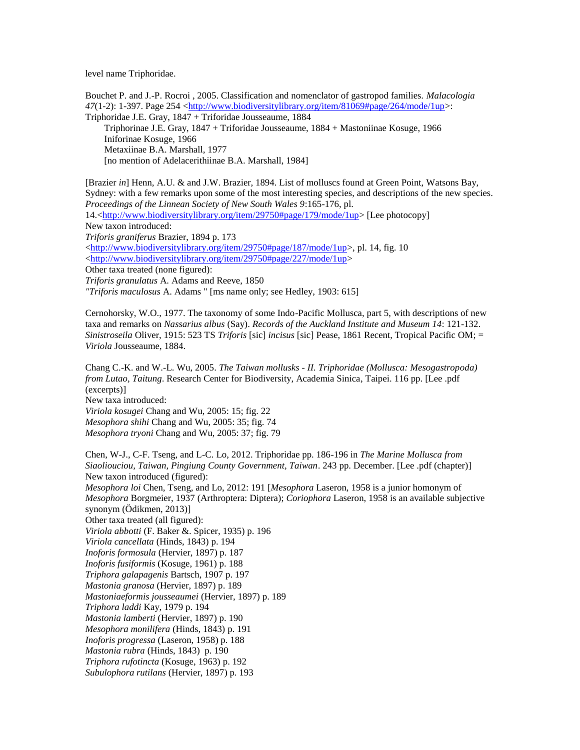level name Triphoridae.

Bouchet P. and J.-P. Rocroi , 2005. Classification and nomenclator of gastropod families. *Malacologia*  $47(1-2)$ : 1-397. Page 254 [<http://www.biodiversitylibrary.org/item/81069#page/264/mode/1up>](http://www.biodiversitylibrary.org/item/81069#page/264/mode/1up): Triphoridae J.E. Gray, 1847 + Triforidae Jousseaume, 1884 Triphorinae J.E. Gray, 1847 + Triforidae Jousseaume, 1884 + Mastoniinae Kosuge, 1966 Iniforinae Kosuge, 1966 Metaxiinae B.A. Marshall, 1977 [no mention of Adelacerithiinae B.A. Marshall, 1984]

[Brazier *in*] Henn, A.U. & and J.W. Brazier, 1894. List of molluscs found at Green Point, Watsons Bay, Sydney: with a few remarks upon some of the most interesting species, and descriptions of the new species. *Proceedings of the Linnean Society of New South Wales 9*:165-176, pl. 14.[<http://www.biodiversitylibrary.org/item/29750#page/179/mode/1up>](http://www.biodiversitylibrary.org/item/29750#page/179/mode/1up) [Lee photocopy] New taxon introduced: *Triforis graniferus* Brazier, 1894 p. 173  $\langle \frac{\text{http://www.hiodiversitylibrary.org/item/29750#page/187/mode/1un>14, fig. 10}}{\text{http://www.hiodiversitylibrary.org/item/29750#page/187/mode/1un>14, fig. 10}}$ [<http://www.biodiversitylibrary.org/item/29750#page/227/mode/1up>](http://www.biodiversitylibrary.org/item/29750#page/227/mode/1up) Other taxa treated (none figured): *Triforis granulatus* A. Adams and Reeve, 1850 *"Triforis maculosus* A. Adams " [ms name only; see Hedley, 1903: 615]

Cernohorsky, W.O., 1977. The taxonomy of some Indo-Pacific Mollusca, part 5, with descriptions of new taxa and remarks on *Nassarius albus* (Say). *Records of the Auckland Institute and Museum 14*: 121-132. *Sinistroseila* Oliver, 1915: 523 TS *Triforis* [sic] *incisus* [sic] Pease, 1861 Recent, Tropical Pacific OM; = *Viriola* Jousseaume, 1884.

Chang C.-K. and W.-L. Wu, 2005. *The Taiwan mollusks - II. Triphoridae (Mollusca: Mesogastropoda) from Lutao, Taitung*. Research Center for Biodiversity, Academia Sinica, Taipei. 116 pp. [Lee .pdf (excerpts)] New taxa introduced: *Viriola kosugei* Chang and Wu, 2005: 15; fig. 22 *Mesophora shihi* Chang and Wu, 2005: 35; fig. 74 *Mesophora tryoni* Chang and Wu, 2005: 37; fig. 79

Chen, W-J., C-F. Tseng, and L-C. Lo, 2012. Triphoridae pp. 186-196 in *The Marine Mollusca from Siaoliouciou, Taiwan, Pingiung County Government, Taiwan*. 243 pp. December. [Lee .pdf (chapter)] New taxon introduced (figured): *Mesophora loi* Chen, Tseng, and Lo, 2012: 191 [*Mesophora* Laseron, 1958 is a junior homonym of *Mesophora* Borgmeier, 1937 (Arthroptera: Diptera); *Coriophora* Laseron, 1958 is an available subjective synonym (Ödikmen, 2013)] Other taxa treated (all figured): *Viriola abbotti* (F. Baker &. Spicer, 1935) p. 196 *Viriola cancellata* (Hinds, 1843) p. 194 *Inoforis formosula* (Hervier, 1897) p. 187 *Inoforis fusiformis* (Kosuge, 1961) p. 188 *Triphora galapagenis* Bartsch, 1907 p. 197 *Mastonia granosa* (Hervier, 1897) p. 189 *Mastoniaeformis jousseaumei* (Hervier, 1897) p. 189 *Triphora laddi* Kay, 1979 p. 194 *Mastonia lamberti* (Hervier, 1897) p. 190 *Mesophora monilifera* (Hinds, 1843) p. 191 *Inoforis progressa* (Laseron, 1958) p. 188 *Mastonia rubra* (Hinds, 1843) p. 190 *Triphora rufotincta* (Kosuge, 1963) p. 192 *Subulophora rutilans* (Hervier, 1897) p. 193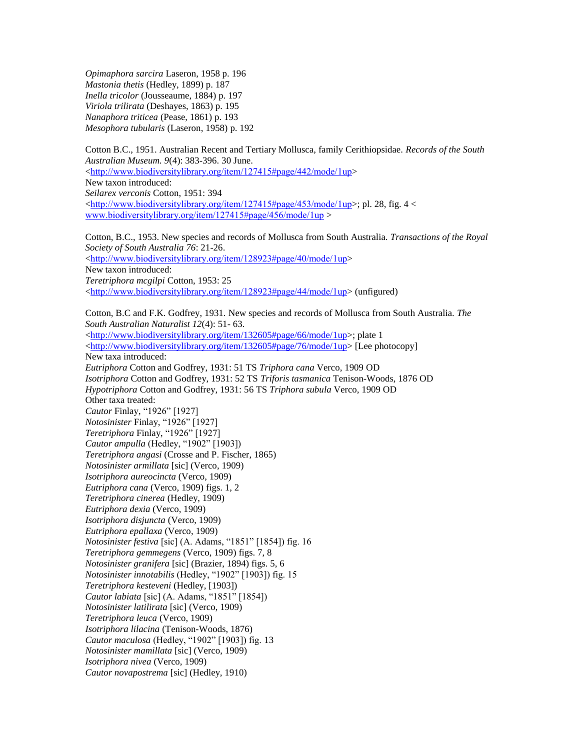*Opimaphora sarcira* Laseron, 1958 p. 196 *Mastonia thetis* (Hedley, 1899) p. 187 *Inella tricolor* (Jousseaume, 1884) p. 197 *Viriola trilirata* (Deshayes, 1863) p. 195 *Nanaphora triticea* (Pease, 1861) p. 193 *Mesophora tubularis* (Laseron, 1958) p. 192

Cotton B.C., 1951. Australian Recent and Tertiary Mollusca, family Cerithiopsidae. *Records of the South Australian Museum. 9*(4): 383-396. 30 June. <<http://www.biodiversitylibrary.org/item/127415#page/442/mode/1up>> New taxon introduced: *Seilarex verconis* Cotton, 1951: 394  $\langle$ <http://www.biodiversitylibrary.org/item/127415#page/453/mode/1up>>; pl. 28, fig. 4  $\langle$ [www.biodiversitylibrary.org/item/127415#page/456/mode/1up](http://www.biodiversitylibrary.org/item/127415#page/456/mode/1up) >

Cotton, B.C., 1953. New species and records of Mollusca from South Australia*. Transactions of the Royal Society of South Australia 76*: 21-26. <<http://www.biodiversitylibrary.org/item/128923#page/40/mode/1up>> New taxon introduced: *Teretriphora mcgilpi* Cotton, 1953: 25 <<http://www.biodiversitylibrary.org/item/128923#page/44/mode/1up>> (unfigured)

Cotton, B.C and F.K. Godfrey, 1931. New species and records of Mollusca from South Australia. *The South Australian Naturalist 12*(4): 51- 63. [<http://www.biodiversitylibrary.org/item/132605#page/66/mode/1up>](http://www.biodiversitylibrary.org/item/132605#page/66/mode/1up); plate 1 [<http://www.biodiversitylibrary.org/item/132605#page/76/mode/1up>](http://www.biodiversitylibrary.org/item/132605#page/76/mode/1up) [Lee photocopy] New taxa introduced: *Eutriphora* Cotton and Godfrey, 1931: 51 TS *Triphora cana* Verco, 1909 OD *Isotriphora* Cotton and Godfrey, 1931: 52 TS *Triforis tasmanica* Tenison-Woods, 1876 OD *Hypotriphora* Cotton and Godfrey, 1931: 56 TS *Triphora subula* Verco, 1909 OD Other taxa treated: *Cautor* Finlay, "1926" [1927] *Notosinister* Finlay, "1926" [1927] *Teretriphora* Finlay, "1926" [1927] *Cautor ampulla* (Hedley, "1902" [1903]) *Teretriphora angasi* (Crosse and P. Fischer, 1865) *Notosinister armillata* [sic] (Verco, 1909) *Isotriphora aureocincta* (Verco, 1909) *Eutriphora cana* (Verco, 1909) figs. 1, 2 *Teretriphora cinerea* (Hedley, 1909) *Eutriphora dexia* (Verco, 1909) *Isotriphora disjuncta* (Verco, 1909) *Eutriphora epallaxa* (Verco, 1909) *Notosinister festiva* [sic] (A. Adams, "1851" [1854]) fig. 16 *Teretriphora gemmegens* (Verco, 1909) figs. 7, 8 *Notosinister granifera* [sic] (Brazier, 1894) figs. 5, 6 *Notosinister innotabilis* (Hedley, "1902" [1903]) fig. 15 *Teretriphora kesteveni* (Hedley, [1903]) *Cautor labiata* [sic] (A. Adams, "1851" [1854]) *Notosinister latilirata* [sic] (Verco, 1909) *Teretriphora leuca* (Verco, 1909) *Isotriphora lilacina* (Tenison-Woods, 1876) *Cautor maculosa* (Hedley, "1902" [1903]) fig. 13 *Notosinister mamillata* [sic] (Verco, 1909) *Isotriphora nivea* (Verco, 1909) *Cautor novapostrema* [sic] (Hedley, 1910)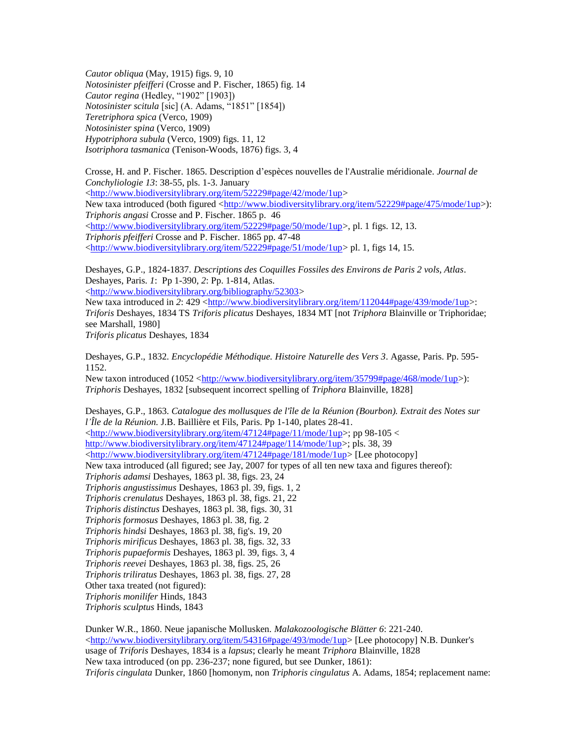*Cautor obliqua* (May, 1915) figs. 9, 10 *Notosinister pfeifferi* (Crosse and P. Fischer, 1865) fig. 14 *Cautor regina* (Hedley, "1902" [1903]) *Notosinister scitula* [sic] (A. Adams, "1851" [1854]) *Teretriphora spica* (Verco, 1909) *Notosinister spina* (Verco, 1909) *Hypotriphora subula* (Verco, 1909) figs. 11, 12 *Isotriphora tasmanica* (Tenison-Woods, 1876) figs. 3, 4

Crosse, H. and P. Fischer. 1865. Description d'espèces nouvelles de l'Australie méridionale. *Journal de Conchyliologie 13*: 38-55, pls. 1-3. January [<http://www.biodiversitylibrary.org/item/52229#page/42/mode/1up>](http://www.biodiversitylibrary.org/item/52229#page/42/mode/1up) New taxa introduced (both figured [<http://www.biodiversitylibrary.org/item/52229#page/475/mode/1up>](http://www.biodiversitylibrary.org/item/52229#page/475/mode/1up)): *Triphoris angasi* Crosse and P. Fischer. 1865 p. 46 [<http://www.biodiversitylibrary.org/item/52229#page/50/mode/1up>](http://www.biodiversitylibrary.org/item/52229#page/50/mode/1up), pl. 1 figs. 12, 13. *Triphoris pfeifferi* Crosse and P. Fischer. 1865 pp. 47-48  $\langle$ http://www.biodiversitylibrary.org/item/52229#page/51/mode/1up> pl. 1, figs 14, 15.

Deshayes, G.P., 1824-1837. *Descriptions des Coquilles Fossiles des Environs de Paris 2 vols, Atlas*. Deshayes, Paris. *1*: Pp 1-390, *2*: Pp. 1-814, Atlas.

[<http://www.biodiversitylibrary.org/bibliography/52303>](http://www.biodiversitylibrary.org/bibliography/52303)

New taxa introduced in 2: 429 [<http://www.biodiversitylibrary.org/item/112044#page/439/mode/1up>](http://www.biodiversitylibrary.org/item/112044#page/439/mode/1up): *Triforis* Deshayes, 1834 TS *Triforis plicatus* Deshayes, 1834 MT [not *Triphora* Blainville or Triphoridae; see Marshall, 1980]

*Triforis plicatus* Deshayes, 1834

Deshayes, G.P., 1832. *Encyclopédie Méthodique. Histoire Naturelle des Vers 3*. Agasse, Paris. Pp. 595- 1152.

New taxon introduced (1052 [<http://www.biodiversitylibrary.org/item/35799#page/468/mode/1up>](http://www.biodiversitylibrary.org/item/35799#page/468/mode/1up)): *Triphoris* Deshayes, 1832 [subsequent incorrect spelling of *Triphora* Blainville, 1828]

Deshayes, G.P., 1863. *Catalogue des mollusques de l'île de la Réunion (Bourbon). Extrait des Notes sur l'Île de la Réunion.* J.B. Baillière et Fils, Paris. Pp 1-140, plates 28-41.  $\langle \frac{http://www.biodiversitylibrary.org/item/47124#page/11/mode/1up>}{p}$ ; pp 98-105  $\langle$ [http://www.biodiversitylibrary.org/item/47124#page/114/mode/1up>](http://www.biodiversitylibrary.org/item/47124#page/114/mode/1up); pls. 38, 39 [<http://www.biodiversitylibrary.org/item/47124#page/181/mode/1up>](http://www.biodiversitylibrary.org/item/47124#page/181/mode/1up) [Lee photocopy] New taxa introduced (all figured; see Jay, 2007 for types of all ten new taxa and figures thereof): *Triphoris adamsi* Deshayes, 1863 pl. 38, figs. 23, 24 *Triphoris angustissimus* Deshayes, 1863 pl. 39, figs. 1, 2 *Triphoris crenulatus* Deshayes, 1863 pl. 38, figs. 21, 22 *Triphoris distinctus* Deshayes, 1863 pl. 38, figs. 30, 31 *Triphoris formosus* Deshayes, 1863 pl. 38, fig. 2 *Triphoris hindsi* Deshayes, 1863 pl. 38, fig's. 19, 20 *Triphoris mirificus* Deshayes, 1863 pl. 38, figs. 32, 33 *Triphoris pupaeformis* Deshayes, 1863 pl. 39, figs. 3, 4 *Triphoris reevei* Deshayes, 1863 pl. 38, figs. 25, 26 *Triphoris triliratus* Deshayes, 1863 pl. 38, figs. 27, 28 Other taxa treated (not figured): *Triphoris monilifer* Hinds, 1843 *Triphoris sculptus* Hinds, 1843

Dunker W.R., 1860. Neue japanische Mollusken. *Malakozoologische Blätter 6*: 221-240.  $\langle$ http://www.biodiversitylibrary.org/item/54316#page/493/mode/1up> [Lee photocopy] N.B. Dunker's usage of *Triforis* Deshayes, 1834 is a *lapsus*; clearly he meant *Triphora* Blainville, 1828 New taxa introduced (on pp. 236-237; none figured, but see Dunker, 1861): *Triforis cingulata* Dunker, 1860 [homonym, non *Triphoris cingulatus* A. Adams, 1854; replacement name: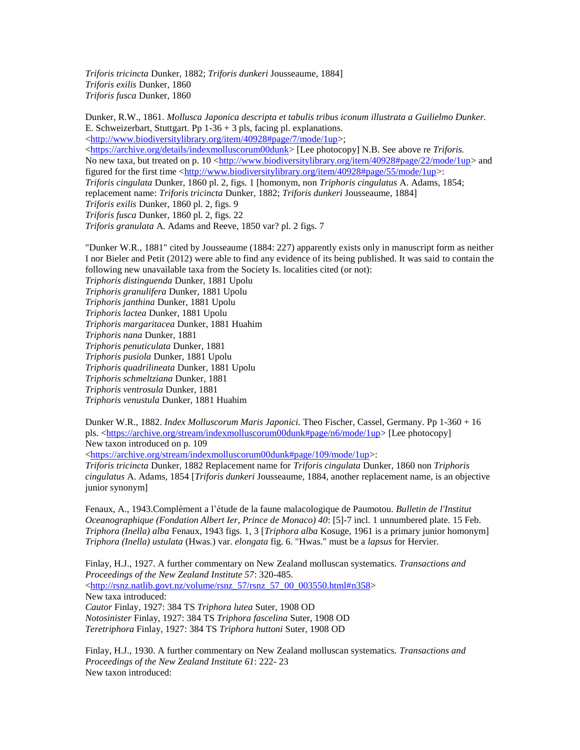*Triforis tricincta* Dunker, 1882; *Triforis dunkeri* Jousseaume, 1884] *Triforis exilis* Dunker, 1860 *Triforis fusca* Dunker, 1860

Dunker, R.W., 1861. *Mollusca Japonica descripta et tabulis tribus iconum illustrata a Guilielmo Dunker.*  E. Schweizerbart, Stuttgart. Pp  $1-36 + 3$  pls, facing pl. explanations. [<http://www.biodiversitylibrary.org/item/40928#page/7/mode/1up>](http://www.biodiversitylibrary.org/item/40928#page/7/mode/1up); [<https://archive.org/details/indexmolluscorum00dunk>](https://archive.org/details/indexmolluscorum00dunk) [Lee photocopy] N.B. See above re *Triforis.* No new taxa, but treated on p. 10 [<http://www.biodiversitylibrary.org/item/40928#page/22/mode/1up>](http://www.biodiversitylibrary.org/item/40928#page/22/mode/1up) and figured for the first time [<http://www.biodiversitylibrary.org/item/40928#page/55/mode/1up>](http://www.biodiversitylibrary.org/item/40928#page/55/mode/1up): *Triforis cingulata* Dunker, 1860 pl. 2, figs. 1 [homonym, non *Triphoris cingulatus* A. Adams, 1854; replacement name: *Triforis tricincta* Dunker, 1882; *Triforis dunkeri* Jousseaume, 1884] *Triforis exilis* Dunker, 1860 pl. 2, figs. 9 *Triforis fusca* Dunker, 1860 pl. 2, figs. 22 *Triforis granulata* A. Adams and Reeve, 1850 var? pl. 2 figs. 7

"Dunker W.R., 1881" cited by Jousseaume (1884: 227) apparently exists only in manuscript form as neither I nor Bieler and Petit (2012) were able to find any evidence of its being published. It was said to contain the following new unavailable taxa from the Society Is. localities cited (or not): *Triphoris distinguenda* Dunker, 1881 Upolu *Triphoris granulifera* Dunker, 1881 Upolu *Triphoris janthina* Dunker, 1881 Upolu *Triphoris lactea* Dunker, 1881 Upolu *Triphoris margaritacea* Dunker, 1881 Huahim *Triphoris nana* Dunker, 1881 *Triphoris penuticulata* Dunker, 1881 *Triphoris pusiola* Dunker, 1881 Upolu *Triphoris quadrilineata* Dunker, 1881 Upolu *Triphoris schmeltziana* Dunker, 1881 *Triphoris ventrosula* Dunker, 1881 *Triphoris venustula* Dunker, 1881 Huahim

Dunker W.R., 1882. *Index Molluscorum Maris Japonici.* Theo Fischer, Cassel, Germany. Pp 1-360 + 16 pls. [<https://archive.org/stream/indexmolluscorum00dunk#page/n6/mode/1up>](https://archive.org/stream/indexmolluscorum00dunk#page/n6/mode/1up) [Lee photocopy] New taxon introduced on p. 109

[<https://archive.org/stream/indexmolluscorum00dunk#page/109/mode/1up>](https://archive.org/stream/indexmolluscorum00dunk#page/109/mode/1up):

*Triforis tricincta* Dunker, 1882 Replacement name for *Triforis cingulata* Dunker, 1860 non *Triphoris cingulatus* A. Adams, 1854 [*Triforis dunkeri* Jousseaume, 1884, another replacement name, is an objective junior synonym]

Fenaux, A., 1943.Complèment a l'étude de la faune malacologique de Paumotou. *Bulletin de l'Institut Oceanographique (Fondation Albert Ier, Prince de Monaco) 40*: [5]-7 incl. 1 unnumbered plate. 15 Feb. *Triphora (Inella) alba* Fenaux, 1943 figs. 1, 3 [*Triphora alba* Kosuge, 1961 is a primary junior homonym] *Triphora (Inella) ustulata* (Hwas.) var. *elongata* fig. 6. "Hwas." must be a *lapsus* for Hervier.

Finlay, H.J., 1927. A further commentary on New Zealand molluscan systematics. *Transactions and Proceedings of the New Zealand Institute 57*: 320-485.  $\lt$ http://rsnz.natlib.govt.nz/volume/rsnz\_57/rsnz\_57\_00\_003550.html#n358> New taxa introduced: *Cautor* Finlay, 1927: 384 TS *Triphora lutea* Suter, 1908 OD *Notosinister* Finlay, 1927: 384 TS *Triphora fascelina* Suter, 1908 OD *Teretriphora* Finlay, 1927: 384 TS *Triphora huttoni* Suter, 1908 OD

Finlay, H.J., 1930. A further commentary on New Zealand molluscan systematics. *Transactions and Proceedings of the New Zealand Institute 61*: 222- 23 New taxon introduced: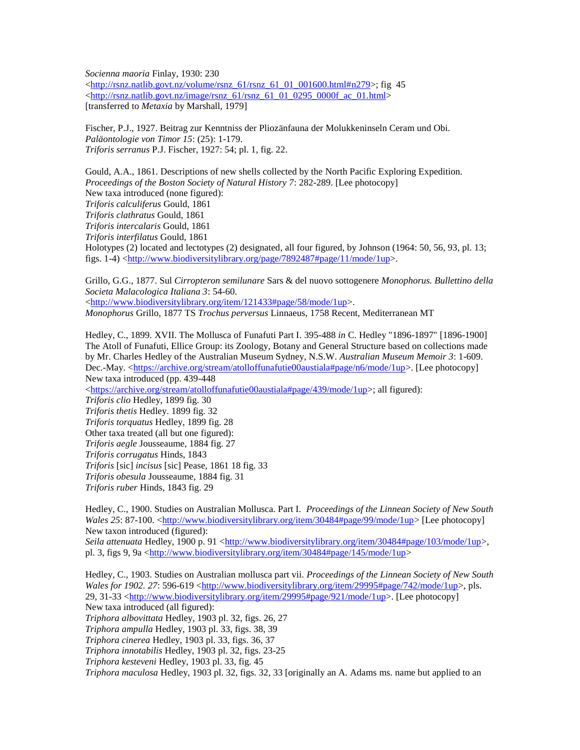*Socienna maoria* Finlay, 1930: 230  $\langle \frac{http://rsnz.natlib.govt.nz/volume/rsnz_61/rsnz_61_01_000.html}{http://rsnz.natlib.govt.nz/volume/rsnz_61/rsnz_61_01_001600.html}{#n279>}$ ; fig 45  $\langle$ http://rsnz.natlib.govt.nz/image/rsnz\_61/rsnz\_61\_01\_0295\_0000f\_ac\_01.html> [transferred to *Metaxia* by Marshall, 1979]

Fischer, P.J., 1927. Beitrag zur Kenntniss der Pliozänfauna der Molukkeninseln Ceram und Obi. *Paläontologie von Timor 15*: (25): 1-179. *Triforis serranus* P.J. Fischer, 1927: 54; pl. 1, fig. 22.

Gould, A.A., 1861. Descriptions of new shells collected by the North Pacific Exploring Expedition. *Proceedings of the Boston Society of Natural History 7*: 282-289. [Lee photocopy] New taxa introduced (none figured): *Triforis calculiferus* Gould, 1861 *Triforis clathratus* Gould, 1861 *Triforis intercalaris* Gould, 1861 *Triforis interfilatus* Gould, 1861 Holotypes (2) located and lectotypes (2) designated, all four figured, by Johnson (1964: 50, 56, 93, pl. 13; figs. 1-4) [<http://www.biodiversitylibrary.org/page/7892487#page/11/mode/1up>](http://www.biodiversitylibrary.org/page/7892487#page/11/mode/1up).

Grillo, G.G., 1877. Sul *Cirropteron semilunare* Sars & del nuovo sottogenere *Monophorus. Bullettino della Societa Malacologica Italiana 3*: 54-60. [<http://www.biodiversitylibrary.org/item/121433#page/58/mode/1up>](http://www.biodiversitylibrary.org/item/121433#page/58/mode/1up). *Monophorus* Grillo, 1877 TS *Trochus perversus* Linnaeus, 1758 Recent, Mediterranean MT

Hedley, C., 1899. XVII. The Mollusca of Funafuti Part I. 395-488 *in* C. Hedley "1896-1897" [1896-1900] The Atoll of Funafuti, Ellice Group: its Zoology, Botany and General Structure based on collections made by Mr. Charles Hedley of the Australian Museum Sydney, N.S.W. *Australian Museum Memoir 3*: 1-609. Dec.-May. [<https://archive.org/stream/atolloffunafutie00austiala#page/n6/mode/1up>](https://archive.org/stream/atolloffunafutie00austiala#page/n6/mode/1up). [Lee photocopy] New taxa introduced (pp. 439-448

 $\langle$ https://archive.org/stream/atolloffunafutie00austiala#page/439/mode/1up>; all figured):

*Triforis clio* Hedley, 1899 fig. 30 *Triforis thetis* Hedley. 1899 fig. 32 *Triforis torquatus* Hedley, 1899 fig. 28 Other taxa treated (all but one figured): *Triforis aegle* Jousseaume, 1884 fig. 27 *Triforis corrugatus* Hinds, 1843 *Triforis* [sic] *incisus* [sic] Pease, 1861 18 fig. 33 *Triforis obesula* Jousseaume, 1884 fig. 31 *Triforis ruber* Hinds, 1843 fig. 29

Hedley, C., 1900. Studies on Australian Mollusca. Part I. *Proceedings of the Linnean Society of New South Wales 25*: 87-100. [<http://www.biodiversitylibrary.org/item/30484#page/99/mode/1up>](http://www.biodiversitylibrary.org/item/30484#page/99/mode/1up) [Lee photocopy] New taxon introduced (figured): Seila attenuata Hedley, 1900 p. 91 [<http://www.biodiversitylibrary.org/item/30484#page/103/mode/1up>](http://www.biodiversitylibrary.org/item/30484#page/103/mode/1up), pl. 3, figs 9, 9a [<http://www.biodiversitylibrary.org/item/30484#page/145/mode/1up>](http://www.biodiversitylibrary.org/item/30484#page/145/mode/1up)

Hedley, C., 1903. Studies on Australian mollusca part vii. *Proceedings of the Linnean Society of New South Wales for 1902, 27:* 596-619 [<http://www.biodiversitylibrary.org/item/29995#page/742/mode/1up>](http://www.biodiversitylibrary.org/item/29995#page/742/mode/1up), pls. 29, 31-33 [<http://www.biodiversitylibrary.org/item/29995#page/921/mode/1up>](http://www.biodiversitylibrary.org/item/29995#page/921/mode/1up). [Lee photocopy] New taxa introduced (all figured): *Triphora albovittata* Hedley, 1903 pl. 32, figs. 26, 27 *Triphora ampulla* Hedley, 1903 pl. 33, figs. 38, 39 *Triphora cinerea* Hedley, 1903 pl. 33, figs. 36, 37 *Triphora innotabilis* Hedley, 1903 pl. 32, figs. 23-25 *Triphora kesteveni* Hedley, 1903 pl. 33, fig. 45 *Triphora maculosa* Hedley, 1903 pl. 32, figs. 32, 33 [originally an A. Adams ms. name but applied to an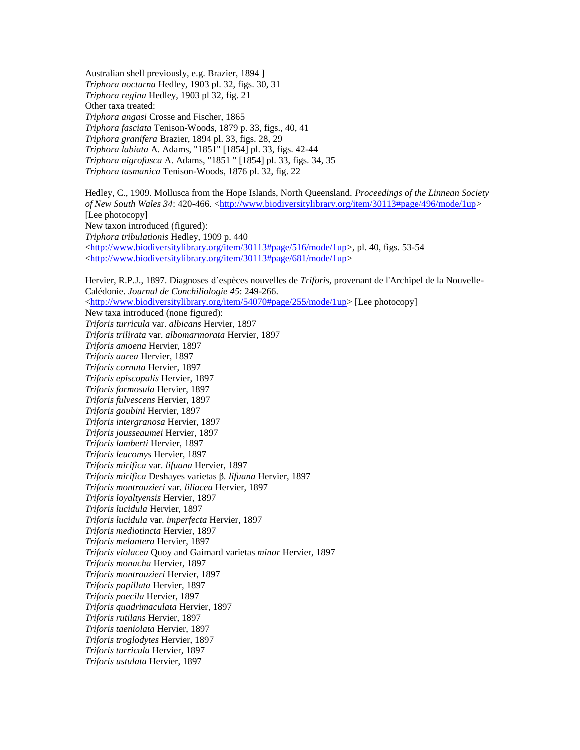Australian shell previously, e.g. Brazier, 1894 ] *Triphora nocturna* Hedley, 1903 pl. 32, figs. 30, 31 *Triphora regina* Hedley, 1903 pl 32, fig. 21 Other taxa treated: *Triphora angasi* Crosse and Fischer, 1865 *Triphora fasciata* Tenison-Woods, 1879 p. 33, figs., 40, 41 *Triphora granifera* Brazier, 1894 pl. 33, figs. 28, 29 *Triphora labiata* A. Adams, "1851" [1854] pl. 33, figs. 42-44 *Triphora nigrofusca* A. Adams, "1851 " [1854] pl. 33, figs. 34, 35 *Triphora tasmanica* Tenison-Woods, 1876 pl. 32, fig. 22

Hedley, C., 1909. Mollusca from the Hope Islands, North Queensland. *Proceedings of the Linnean Society of New South Wales 34:* 420-466. [<http://www.biodiversitylibrary.org/item/30113#page/496/mode/1up>](http://www.biodiversitylibrary.org/item/30113#page/496/mode/1up) [Lee photocopy] New taxon introduced (figured): *Triphora tribulationis* Hedley, 1909 p. 440  $\langle$ http://www.biodiversitylibrary.org/item/30113#page/516/mode/1up>, pl. 40, figs. 53-54 [<http://www.biodiversitylibrary.org/item/30113#page/681/mode/1up>](http://www.biodiversitylibrary.org/item/30113#page/681/mode/1up)

Hervier, R.P.J., 1897. Diagnoses d'espèces nouvelles de *Triforis*, provenant de l'Archipel de la Nouvelle-Calédonie. *Journal de Conchiliologie 45*: 249-266. [<http://www.biodiversitylibrary.org/item/54070#page/255/mode/1up>](http://www.biodiversitylibrary.org/item/54070#page/255/mode/1up) [Lee photocopy] New taxa introduced (none figured): *Triforis turricula* var. *albicans* Hervier, 1897 *Triforis trilirata* var. *albomarmorata* Hervier, 1897 *Triforis amoena* Hervier, 1897 *Triforis aurea* Hervier, 1897 *Triforis cornuta* Hervier, 1897 *Triforis episcopalis* Hervier, 1897 *Triforis formosula* Hervier, 1897 *Triforis fulvescens* Hervier, 1897 *Triforis goubini* Hervier, 1897 *Triforis intergranosa* Hervier, 1897 *Triforis jousseaumei* Hervier, 1897 *Triforis lamberti* Hervier, 1897 *Triforis leucomys* Hervier, 1897 *Triforis mirifica* var. *lifuana* Hervier, 1897 *Triforis mirifica* Deshayes varietas β*. lifuana* Hervier, 1897 *Triforis montrouzieri* var*. liliacea* Hervier, 1897 *Triforis loyaltyensis* Hervier, 1897 *Triforis lucidula* Hervier, 1897 *Triforis lucidula* var. *imperfecta* Hervier, 1897 *Triforis mediotincta* Hervier, 1897 *Triforis melantera* Hervier, 1897 *Triforis violacea* Quoy and Gaimard varietas *minor* Hervier, 1897 *Triforis monacha* Hervier, 1897 *Triforis montrouzieri* Hervier, 1897 *Triforis papillata* Hervier, 1897 *Triforis poecila* Hervier, 1897 *Triforis quadrimaculata* Hervier, 1897 *Triforis rutilans* Hervier, 1897 *Triforis taeniolata* Hervier, 1897 *Triforis troglodytes* Hervier, 1897 *Triforis turricula* Hervier, 1897 *Triforis ustulata* Hervier, 1897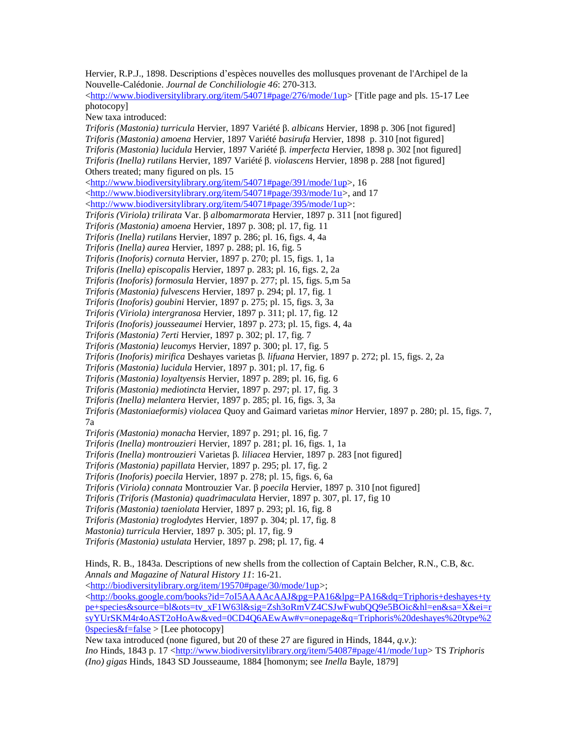Hervier, R.P.J., 1898. Descriptions d'espèces nouvelles des mollusques provenant de l'Archipel de la Nouvelle-Calédonie. *Journal de Conchiliologie 46*: 270-313. [<http://www.biodiversitylibrary.org/item/54071#page/276/mode/1up>](http://www.biodiversitylibrary.org/item/54071#page/276/mode/1up) [Title page and pls. 15-17 Lee photocopy] New taxa introduced: *Triforis (Mastonia) turricula* Hervier, 1897 Variété β. *albicans* Hervier, 1898 p. 306 [not figured] *Triforis (Mastonia) amoena* Hervier, 1897 Variété *basirufa* Hervier, 1898 p. 310 [not figured] *Triforis (Mastonia) lucidula* Hervier, 1897 Variété β*. imperfecta* Hervier, 1898 p. 302 [not figured] *Triforis (Inella) rutilans* Hervier, 1897 Variété β. *violascens* Hervier, 1898 p. 288 [not figured] Others treated; many figured on pls. 15 [<http://www.biodiversitylibrary.org/item/54071#page/391/mode/1up>](http://www.biodiversitylibrary.org/item/54071#page/391/mode/1up), 16 [<http://www.biodiversitylibrary.org/item/54071#page/393/mode/1u>](http://www.biodiversitylibrary.org/item/54071#page/393/mode/1up), and 17 [<http://www.biodiversitylibrary.org/item/54071#page/395/mode/1up>](http://www.biodiversitylibrary.org/item/54071#page/395/mode/1up): *Triforis (Viriola) trilirata* Var. β *albomarmorata* Hervier, 1897 p. 311 [not figured] *Triforis (Mastonia) amoena* Hervier, 1897 p. 308; pl. 17, fig. 11 *Triforis (Inella) rutilans* Hervier, 1897 p. 286; pl. 16, figs. 4, 4a *Triforis (Inella) aurea* Hervier, 1897 p. 288; pl. 16, fig. 5 *Triforis (Inoforis) cornuta* Hervier, 1897 p. 270; pl. 15, figs. 1, 1a *Triforis (Inella) episcopalis* Hervier, 1897 p. 283; pl. 16, figs. 2, 2a *Triforis (Inoforis) formosula* Hervier, 1897 p. 277; pl. 15, figs. 5,m 5a *Triforis (Mastonia) fulvescens* Hervier, 1897 p. 294; pl. 17, fig. 1 *Triforis (Inoforis) goubini* Hervier, 1897 p. 275; pl. 15, figs. 3, 3a *Triforis (Viriola) intergranosa* Hervier, 1897 p. 311; pl. 17, fig. 12 *Triforis (Inoforis) jousseaumei* Hervier, 1897 p. 273; pl. 15, figs. 4, 4a *Triforis (Mastonia) 7erti* Hervier, 1897 p. 302; pl. 17, fig. 7 *Triforis (Mastonia) leucomys* Hervier, 1897 p. 300; pl. 17, fig. 5 *Triforis (Inoforis) mirifica* Deshayes varietas β*. lifuana* Hervier, 1897 p. 272; pl. 15, figs. 2, 2a *Triforis (Mastonia) lucidula* Hervier, 1897 p. 301; pl. 17, fig. 6 *Triforis (Mastonia) loyaltyensis* Hervier, 1897 p. 289; pl. 16, fig. 6 *Triforis (Mastonia) mediotincta* Hervier, 1897 p. 297; pl. 17, fig. 3 *Triforis (Inella) melantera* Hervier, 1897 p. 285; pl. 16, figs. 3, 3a *Triforis (Mastoniaeformis) violacea* Quoy and Gaimard varietas *minor* Hervier, 1897 p. 280; pl. 15, figs. 7, 7a *Triforis (Mastonia) monacha* Hervier, 1897 p. 291; pl. 16, fig. 7 *Triforis (Inella) montrouzieri* Hervier, 1897 p. 281; pl. 16, figs. 1, 1a *Triforis (Inella) montrouzieri* Varietas β*. liliacea* Hervier, 1897 p. 283 [not figured] *Triforis (Mastonia) papillata* Hervier, 1897 p. 295; pl. 17, fig. 2 *Triforis (Inoforis) poecila* Hervier, 1897 p. 278; pl. 15, figs. 6, 6a *Triforis (Viriola) connata* Montrouzier Var. β *poecila* Hervier, 1897 p. 310 [not figured] *Triforis (Triforis (Mastonia) quadrimaculata* Hervier, 1897 p. 307, pl. 17, fig 10 *Triforis (Mastonia) taeniolata* Hervier, 1897 p. 293; pl. 16, fig. 8 *Triforis (Mastonia) troglodytes* Hervier, 1897 p. 304; pl. 17, fig. 8 *Mastonia) turricula* Hervier, 1897 p. 305; pl. 17, fig. 9 *Triforis (Mastonia) ustulata* Hervier, 1897 p. 298; pl. 17, fig. 4 Hinds, R. B., 1843a. Descriptions of new shells from the collection of Captain Belcher, R.N., C.B, &c. *Annals and Magazine of Natural History 11*: 16-21. [<http://biodiversitylibrary.org/item/19570#page/30/mode/1up>](http://biodiversitylibrary.org/item/19570#page/30/mode/1up); [<http://books.google.com/books?id=7oI5AAAAcAAJ&pg=PA16&lpg=PA16&dq=Triphoris+deshayes+ty](http://books.google.com/books?id=7oI5AAAAcAAJ&pg=PA16&lpg=PA16&dq=Triphoris+deshayes+type+species&source=bl&ots=tv_xF1W63l&sig=Zsh3oRmVZ4CSJwFwubQQ9e5BOic&hl=en&sa=X&ei=rsyYUrSKM4r4oAST2oHoAw&ved=0CD4Q6AEwAw#v=onepage&q=Triphoris%20deshayes%20type%20species&f=false) [pe+species&source=bl&ots=tv\\_xF1W63l&sig=Zsh3oRmVZ4CSJwFwubQQ9e5BOic&hl=en&sa=X&ei=r](http://books.google.com/books?id=7oI5AAAAcAAJ&pg=PA16&lpg=PA16&dq=Triphoris+deshayes+type+species&source=bl&ots=tv_xF1W63l&sig=Zsh3oRmVZ4CSJwFwubQQ9e5BOic&hl=en&sa=X&ei=rsyYUrSKM4r4oAST2oHoAw&ved=0CD4Q6AEwAw#v=onepage&q=Triphoris%20deshayes%20type%20species&f=false) [syYUrSKM4r4oAST2oHoAw&ved=0CD4Q6AEwAw#v=onepage&q=Triphoris%20deshayes%20type%2](http://books.google.com/books?id=7oI5AAAAcAAJ&pg=PA16&lpg=PA16&dq=Triphoris+deshayes+type+species&source=bl&ots=tv_xF1W63l&sig=Zsh3oRmVZ4CSJwFwubQQ9e5BOic&hl=en&sa=X&ei=rsyYUrSKM4r4oAST2oHoAw&ved=0CD4Q6AEwAw#v=onepage&q=Triphoris%20deshayes%20type%20species&f=false)  $0$ species $&$ f=false > [Lee photocopy] New taxa introduced (none figured, but 20 of these 27 are figured in Hinds, 1844*, q.v*.): *Ino* Hinds, 1843 p. 17 [<http://www.biodiversitylibrary.org/item/54087#page/41/mode/1up>](http://www.biodiversitylibrary.org/item/54087#page/41/mode/1up) TS *Triphoris* 

*(Ino) gigas* Hinds, 1843 SD Jousseaume, 1884 [homonym; see *Inella* Bayle, 1879]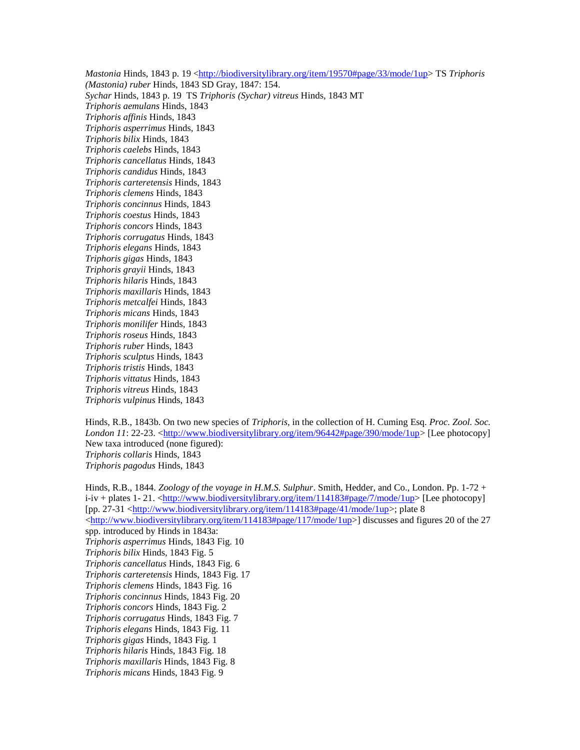*Mastonia* Hinds, 1843 p. 19 <*http://biodiversitylibrary.org/item/19570#page/33/mode/1up> TS Triphoris (Mastonia) ruber* Hinds, 1843 SD Gray, 1847: 154. *Sychar* Hinds, 1843 p. 19 TS *Triphoris (Sychar) vitreus* Hinds, 1843 MT *Triphoris aemulans* Hinds, 1843 *Triphoris affinis* Hinds, 1843 *Triphoris asperrimus* Hinds, 1843 *Triphoris bilix* Hinds, 1843 *Triphoris caelebs* Hinds, 1843 *Triphoris cancellatus* Hinds, 1843 *Triphoris candidus* Hinds, 1843 *Triphoris carteretensis* Hinds, 1843 *Triphoris clemens* Hinds, 1843 *Triphoris concinnus* Hinds, 1843 *Triphoris coestus* Hinds, 1843 *Triphoris concors* Hinds, 1843 *Triphoris corrugatus* Hinds, 1843 *Triphoris elegans* Hinds, 1843 *Triphoris gigas* Hinds, 1843 *Triphoris grayii* Hinds, 1843 *Triphoris hilaris* Hinds, 1843 *Triphoris maxillaris* Hinds, 1843 *Triphoris metcalfei* Hinds, 1843 *Triphoris micans* Hinds, 1843 *Triphoris monilifer* Hinds, 1843 *Triphoris roseus* Hinds, 1843 *Triphoris ruber* Hinds, 1843 *Triphoris sculptus* Hinds, 1843 *Triphoris tristis* Hinds, 1843 *Triphoris vittatus* Hinds, 1843 *Triphoris vitreus* Hinds, 1843 *Triphoris vulpinus* Hinds, 1843

Hinds, R.B., 1843b. On two new species of *Triphoris*, in the collection of H. Cuming Esq. *Proc. Zool. Soc. London 11*: 22-23. [<http://www.biodiversitylibrary.org/item/96442#page/390/mode/1up>](http://www.biodiversitylibrary.org/item/96442#page/390/mode/1up) [Lee photocopy] New taxa introduced (none figured): *Triphoris collaris* Hinds, 1843 *Triphoris pagodus* Hinds, 1843

Hinds, R.B., 1844. *Zoology of the voyage in H.M.S. Sulphur*. Smith, Hedder, and Co., London. Pp. 1-72 + i-iv + plates 1- 21. [<http://www.biodiversitylibrary.org/item/114183#page/7/mode/1up>](http://www.biodiversitylibrary.org/item/114183#page/7/mode/1up) [Lee photocopy] [pp. 27-31 [<http://www.biodiversitylibrary.org/item/114183#page/41/mode/1up>](http://www.biodiversitylibrary.org/item/114183#page/41/mode/1up); plate 8 [<http://www.biodiversitylibrary.org/item/114183#page/117/mode/1up>](http://www.biodiversitylibrary.org/item/114183#page/117/mode/1up)] discusses and figures 20 of the 27 spp. introduced by Hinds in 1843a: *Triphoris asperrimus* Hinds, 1843 Fig. 10 *Triphoris bilix* Hinds, 1843 Fig. 5 *Triphoris cancellatus* Hinds, 1843 Fig. 6 *Triphoris carteretensis* Hinds, 1843 Fig. 17 *Triphoris clemens* Hinds, 1843 Fig. 16 *Triphoris concinnus* Hinds, 1843 Fig. 20 *Triphoris concors* Hinds, 1843 Fig. 2 *Triphoris corrugatus* Hinds, 1843 Fig. 7 *Triphoris elegans* Hinds, 1843 Fig. 11 *Triphoris gigas* Hinds, 1843 Fig. 1 *Triphoris hilaris* Hinds, 1843 Fig. 18 *Triphoris maxillaris* Hinds, 1843 Fig. 8 *Triphoris micans* Hinds, 1843 Fig. 9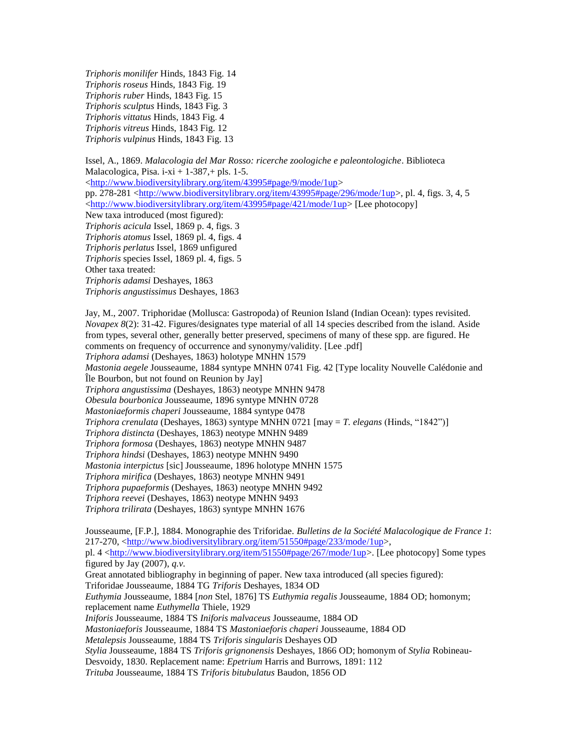*Triphoris monilifer* Hinds, 1843 Fig. 14 *Triphoris roseus* Hinds, 1843 Fig. 19 *Triphoris ruber* Hinds, 1843 Fig. 15 *Triphoris sculptus* Hinds, 1843 Fig. 3 *Triphoris vittatus* Hinds, 1843 Fig. 4 *Triphoris vitreus* Hinds, 1843 Fig. 12 *Triphoris vulpinus* Hinds, 1843 Fig. 13

Issel, A., 1869. *Malacologia del Mar Rosso: ricerche zoologiche e paleontologiche*. Biblioteca Malacologica, Pisa. i-xi +  $1-387$ , + pls. 1-5. [<http://www.biodiversitylibrary.org/item/43995#page/9/mode/1up>](http://www.biodiversitylibrary.org/item/43995#page/9/mode/1up) pp. 278-281 [<http://www.biodiversitylibrary.org/item/43995#page/296/mode/1up>](http://www.biodiversitylibrary.org/item/43995#page/296/mode/1up), pl. 4, figs. 3, 4, 5 [<http://www.biodiversitylibrary.org/item/43995#page/421/mode/1up>](http://www.biodiversitylibrary.org/item/43995#page/421/mode/1up) [Lee photocopy] New taxa introduced (most figured): *Triphoris acicula* Issel, 1869 p. 4, figs. 3 *Triphoris atomus* Issel, 1869 pl. 4, figs. 4 *Triphoris perlatus* Issel, 1869 unfigured *Triphoris* species Issel, 1869 pl. 4, figs. 5 Other taxa treated: *Triphoris adamsi* Deshayes, 1863 *Triphoris angustissimus* Deshayes, 1863

Jay, M., 2007. Triphoridae (Mollusca: Gastropoda) of Reunion Island (Indian Ocean): types revisited. *Novapex 8*(2): 31-42. Figures/designates type material of all 14 species described from the island. Aside from types, several other, generally better preserved, specimens of many of these spp. are figured. He comments on frequency of occurrence and synonymy/validity. [Lee .pdf] *Triphora adamsi* (Deshayes, 1863) holotype MNHN 1579 *Mastonia aegele* Jousseaume, 1884 syntype MNHN 0741 Fig. 42 [Type locality Nouvelle Calédonie and Île Bourbon, but not found on Reunion by Jay] *Triphora angustissima* (Deshayes, 1863) neotype MNHN 9478 *Obesula bourbonica* Jousseaume, 1896 syntype MNHN 0728 *Mastoniaeformis chaperi* Jousseaume, 1884 syntype 0478 *Triphora crenulata* (Deshayes, 1863) syntype MNHN 0721 [may = *T. elegans* (Hinds, "1842")] *Triphora distincta* (Deshayes, 1863) neotype MNHN 9489 *Triphora formosa* (Deshayes, 1863) neotype MNHN 9487 *Triphora hindsi* (Deshayes, 1863) neotype MNHN 9490 *Mastonia interpictus* [sic] Jousseaume, 1896 holotype MNHN 1575 *Triphora mirifica* (Deshayes, 1863) neotype MNHN 9491 *Triphora pupaeformis* (Deshayes, 1863) neotype MNHN 9492 *Triphora reevei* (Deshayes, 1863) neotype MNHN 9493 *Triphora trilirata* (Deshayes, 1863) syntype MNHN 1676

Jousseaume, [F.P.], 1884. Monographie des Triforidae. *Bulletins de la Société Malacologique de France 1*: 217-270, [<http://www.biodiversitylibrary.org/item/51550#page/233/mode/1up>](http://www.biodiversitylibrary.org/item/51550#page/233/mode/1up), pl. 4 [<http://www.biodiversitylibrary.org/item/51550#page/267/mode/1up>](http://www.biodiversitylibrary.org/item/51550#page/267/mode/1up). [Lee photocopy] Some types figured by Jay (2007), *q.v.* Great annotated bibliography in beginning of paper. New taxa introduced (all species figured): Triforidae Jousseaume, 1884 TG *Triforis* Deshayes, 1834 OD *Euthymia* Jousseaume, 1884 [*non* Stel, 1876] TS *Euthymia regalis* Jousseaume, 1884 OD; homonym; replacement name *Euthymella* Thiele, 1929 *Iniforis* Jousseaume, 1884 TS *Iniforis malvaceus* Jousseaume, 1884 OD *Mastoniaeforis* Jousseaume, 1884 TS *Mastoniaeforis chaperi* Jousseaume, 1884 OD *Metalepsis* Jousseaume, 1884 TS *Triforis singularis* Deshayes OD *Stylia* Jousseaume, 1884 TS *Triforis grignonensis* Deshayes, 1866 OD; homonym of *Stylia* Robineau-Desvoidy, 1830. Replacement name: *Epetrium* Harris and Burrows, 1891: 112 *Trituba* Jousseaume, 1884 TS *Triforis bitubulatus* Baudon, 1856 OD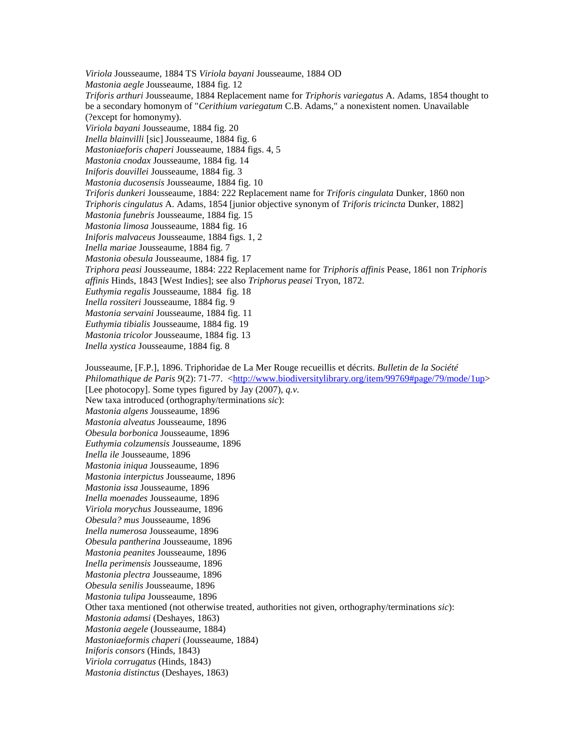*Viriola* Jousseaume, 1884 TS *Viriola bayani* Jousseaume, 1884 OD *Mastonia aegle* Jousseaume, 1884 fig. 12 *Triforis arthuri* Jousseaume, 1884 Replacement name for *Triphoris variegatus* A. Adams, 1854 thought to be a secondary homonym of "*Cerithium variegatum* C.B. Adams," a nonexistent nomen. Unavailable (?except for homonymy). *Viriola bayani* Jousseaume, 1884 fig. 20 *Inella blainvilli* [sic] Jousseaume, 1884 fig. 6 *Mastoniaeforis chaperi* Jousseaume, 1884 figs. 4, 5 *Mastonia cnodax* Jousseaume, 1884 fig. 14 *Iniforis douvillei* Jousseaume, 1884 fig. 3 *Mastonia ducosensis* Jousseaume, 1884 fig. 10 *Triforis dunkeri* Jousseaume, 1884: 222 Replacement name for *Triforis cingulata* Dunker, 1860 non *Triphoris cingulatus* A. Adams, 1854 [junior objective synonym of *Triforis tricincta* Dunker, 1882] *Mastonia funebris* Jousseaume, 1884 fig. 15 *Mastonia limosa* Jousseaume, 1884 fig. 16 *Iniforis malvaceus* Jousseaume, 1884 figs. 1, 2 *Inella mariae* Jousseaume, 1884 fig. 7 *Mastonia obesula* Jousseaume, 1884 fig. 17 *Triphora peasi* Jousseaume, 1884: 222 Replacement name for *Triphoris affinis* Pease, 1861 non *Triphoris affinis* Hinds, 1843 [West Indies]; see also *Triphorus peasei* Tryon, 1872. *Euthymia regalis* Jousseaume, 1884 fig. 18 *Inella rossiteri* Jousseaume, 1884 fig. 9 *Mastonia servaini* Jousseaume, 1884 fig. 11 *Euthymia tibialis* Jousseaume, 1884 fig. 19 *Mastonia tricolor* Jousseaume, 1884 fig. 13 *Inella xystica* Jousseaume, 1884 fig. 8 Jousseaume, [F.P.], 1896. Triphoridae de La Mer Rouge recueillis et décrits. *Bulletin de la Société Philomathique de Paris 9(2): 71-77.* [<http://www.biodiversitylibrary.org/item/99769#page/79/mode/1up>](http://www.biodiversitylibrary.org/item/99769#page/79/mode/1up) [Lee photocopy]. Some types figured by Jay (2007), *q.v.* New taxa introduced (orthography/terminations *sic*): *Mastonia algens* Jousseaume, 1896 *Mastonia alveatus* Jousseaume, 1896 *Obesula borbonica* Jousseaume, 1896 *Euthymia colzumensis* Jousseaume, 1896 *Inella ile* Jousseaume, 1896 *Mastonia iniqua* Jousseaume, 1896 *Mastonia interpictus* Jousseaume, 1896 *Mastonia issa* Jousseaume, 1896 *Inella moenades* Jousseaume, 1896 *Viriola morychus* Jousseaume, 1896 *Obesula? mus* Jousseaume, 1896 *Inella numerosa* Jousseaume, 1896 *Obesula pantherina* Jousseaume, 1896 *Mastonia peanites* Jousseaume, 1896 *Inella perimensis* Jousseaume, 1896

*Mastonia plectra* Jousseaume, 1896 *Obesula senilis* Jousseaume, 1896

*Mastonia tulipa* Jousseaume, 1896

Other taxa mentioned (not otherwise treated, authorities not given, orthography/terminations *sic*):

*Mastonia adamsi* (Deshayes, 1863)

*Mastonia aegele* (Jousseaume, 1884) *Mastoniaeformis chaperi* (Jousseaume, 1884)

*Iniforis consors* (Hinds, 1843) *Viriola corrugatus* (Hinds, 1843)

*Mastonia distinctus* (Deshayes, 1863)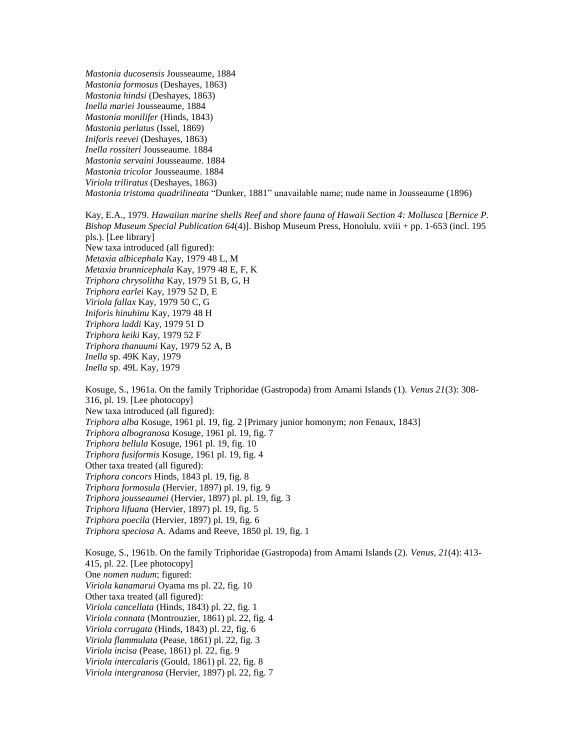*Mastonia ducosensis* Jousseaume, 1884 *Mastonia formosus* (Deshayes, 1863) *Mastonia hindsi* (Deshayes, 1863) *Inella mariei* Jousseaume, 1884 *Mastonia monilifer* (Hinds, 1843) *Mastonia perlatus* (Issel, 1869) *Iniforis reevei* (Deshayes, 1863) *Inella rossiteri* Jousseaume. 1884 *Mastonia servaini* Jousseaume. 1884 *Mastonia tricolor* Jousseaume. 1884 *Viriola triliratus* (Deshayes, 1863) *Mastonia tristoma quadrilineata* "Dunker, 1881" unavailable name; nude name in Jousseaume (1896)

Kay, E.A., 1979. *Hawaiian marine shells Reef and shore fauna of Hawaii Section 4: Mollusca* [*Bernice P. Bishop Museum Special Publication 64*(4)]. Bishop Museum Press, Honolulu. xviii + pp. 1-653 (incl. 195 pls.). [Lee library] New taxa introduced (all figured): *Metaxia albicephala* Kay, 1979 48 L, M *Metaxia brunnicephala* Kay, 1979 48 E, F, K *Triphora chrysolitha* Kay, 1979 51 B, G, H *Triphora earlei* Kay, 1979 52 D, E *Viriola fallax* Kay, 1979 50 C, G *Iniforis hinuhinu* Kay, 1979 48 H *Triphora laddi* Kay, 1979 51 D *Triphora keiki* Kay, 1979 52 F *Triphora thanuumi* Kay, 1979 52 A, B *Inella* sp. 49K Kay, 1979 *Inella* sp. 49L Kay, 1979

Kosuge, S., 1961a. On the family Triphoridae (Gastropoda) from Amami Islands (1). *Venus 21*(3): 308- 316, pl. 19. [Lee photocopy] New taxa introduced (all figured): *Triphora alba* Kosuge, 1961 pl. 19, fig. 2 [Primary junior homonym; *non* Fenaux, 1843] *Triphora albogranosa* Kosuge, 1961 pl. 19, fig. 7 *Triphora bellula* Kosuge, 1961 pl. 19, fig. 10 *Triphora fusiformis* Kosuge, 1961 pl. 19, fig. 4 Other taxa treated (all figured): *Triphora concors* Hinds, 1843 pl. 19, fig. 8 *Triphora formosula* (Hervier, 1897) pl. 19, fig. 9 *Triphora jousseaumei* (Hervier, 1897) pl. pl. 19, fig. 3 *Triphora lifuana* (Hervier, 1897) pl. 19, fig. 5 *Triphora poecila* (Hervier, 1897) pl. 19, fig. 6 *Triphora speciosa* A. Adams and Reeve, 1850 pl. 19, fig. 1

Kosuge, S., 1961b. On the family Triphoridae (Gastropoda) from Amami Islands (2). *Venus, 21*(4): 413- 415, pl. 22. [Lee photocopy] One *nomen nudum*; figured: *Viriola kanamarui* Oyama ms pl. 22, fig. 10 Other taxa treated (all figured): *Viriola cancellata* (Hinds, 1843) pl. 22, fig. 1 *Viriola connata* (Montrouzier, 1861) pl. 22, fig. 4 *Viriola corrugata* (Hinds, 1843) pl. 22, fig. 6 *Viriola flammulata* (Pease, 1861) pl. 22, fig. 3 *Viriola incisa* (Pease, 1861) pl. 22, fig. 9 *Viriola intercalaris* (Gould, 1861) pl. 22, fig. 8 *Viriola intergranosa* (Hervier, 1897) pl. 22, fig. 7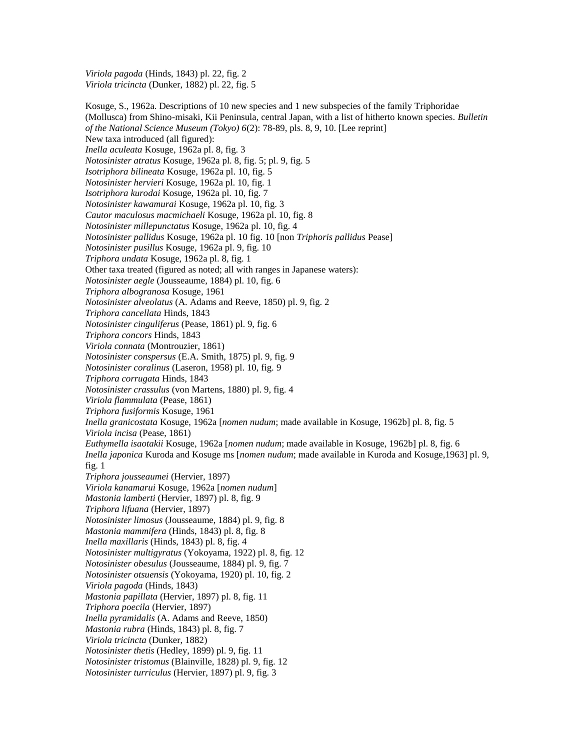*Viriola pagoda* (Hinds, 1843) pl. 22, fig. 2 *Viriola tricincta* (Dunker, 1882) pl. 22, fig. 5

Kosuge, S., 1962a. Descriptions of 10 new species and 1 new subspecies of the family Triphoridae (Mollusca) from Shino-misaki, Kii Peninsula, central Japan, with a list of hitherto known species. *Bulletin of the National Science Museum (Tokyo) 6*(2): 78-89, pls. 8, 9, 10. [Lee reprint] New taxa introduced (all figured): *Inella aculeata* Kosuge, 1962a pl. 8, fig. 3 *Notosinister atratus* Kosuge, 1962a pl. 8, fig. 5; pl. 9, fig. 5 *Isotriphora bilineata* Kosuge, 1962a pl. 10, fig. 5 *Notosinister hervieri* Kosuge, 1962a pl. 10, fig. 1 *Isotriphora kurodai* Kosuge, 1962a pl. 10, fig. 7 *Notosinister kawamurai* Kosuge, 1962a pl. 10, fig. 3 *Cautor maculosus macmichaeli* Kosuge, 1962a pl. 10, fig. 8 *Notosinister millepunctatus* Kosuge, 1962a pl. 10, fig. 4 *Notosinister pallidus* Kosuge, 1962a pl. 10 fig. 10 [non *Triphoris pallidus* Pease] *Notosinister pusillus* Kosuge, 1962a pl. 9, fig. 10 *Triphora undata* Kosuge, 1962a pl. 8, fig. 1 Other taxa treated (figured as noted; all with ranges in Japanese waters): *Notosinister aegle* (Jousseaume, 1884) pl. 10, fig. 6 *Triphora albogranosa* Kosuge, 1961 *Notosinister alveolatus* (A. Adams and Reeve, 1850) pl. 9, fig. 2 *Triphora cancellata* Hinds, 1843 *Notosinister cinguliferus* (Pease, 1861) pl. 9, fig. 6 *Triphora concors* Hinds, 1843 *Viriola connata* (Montrouzier, 1861) *Notosinister conspersus* (E.A. Smith, 1875) pl. 9, fig. 9 *Notosinister coralinus* (Laseron, 1958) pl. 10, fig. 9 *Triphora corrugata* Hinds, 1843 *Notosinister crassulus* (von Martens, 1880) pl. 9, fig. 4 *Viriola flammulata* (Pease, 1861) *Triphora fusiformis* Kosuge, 1961 *Inella granicostata* Kosuge, 1962a [*nomen nudum*; made available in Kosuge, 1962b] pl. 8, fig. 5 *Viriola incisa* (Pease, 1861) *Euthymella isaotakii* Kosuge, 1962a [*nomen nudum*; made available in Kosuge, 1962b] pl. 8, fig. 6 *Inella japonica* Kuroda and Kosuge ms [*nomen nudum*; made available in Kuroda and Kosuge,1963] pl. 9, fig. 1 *Triphora jousseaumei* (Hervier, 1897) *Viriola kanamarui* Kosuge, 1962a [*nomen nudum*] *Mastonia lamberti* (Hervier, 1897) pl. 8, fig. 9 *Triphora lifuana* (Hervier, 1897) *Notosinister limosus* (Jousseaume, 1884) pl. 9, fig. 8 *Mastonia mammifera* (Hinds, 1843) pl. 8, fig. 8 *Inella maxillaris* (Hinds, 1843) pl. 8, fig. 4 *Notosinister multigyratus* (Yokoyama, 1922) pl. 8, fig. 12 *Notosinister obesulus* (Jousseaume, 1884) pl. 9, fig. 7 *Notosinister otsuensis* (Yokoyama, 1920) pl. 10, fig. 2 *Viriola pagoda* (Hinds, 1843) *Mastonia papillata* (Hervier, 1897) pl. 8, fig. 11 *Triphora poecila* (Hervier, 1897) *Inella pyramidalis* (A. Adams and Reeve, 1850) *Mastonia rubra* (Hinds, 1843) pl. 8, fig. 7 *Viriola tricincta* (Dunker, 1882) *Notosinister thetis* (Hedley, 1899) pl. 9, fig. 11 *Notosinister tristomus* (Blainville, 1828) pl. 9, fig. 12 *Notosinister turriculus* (Hervier, 1897) pl. 9, fig. 3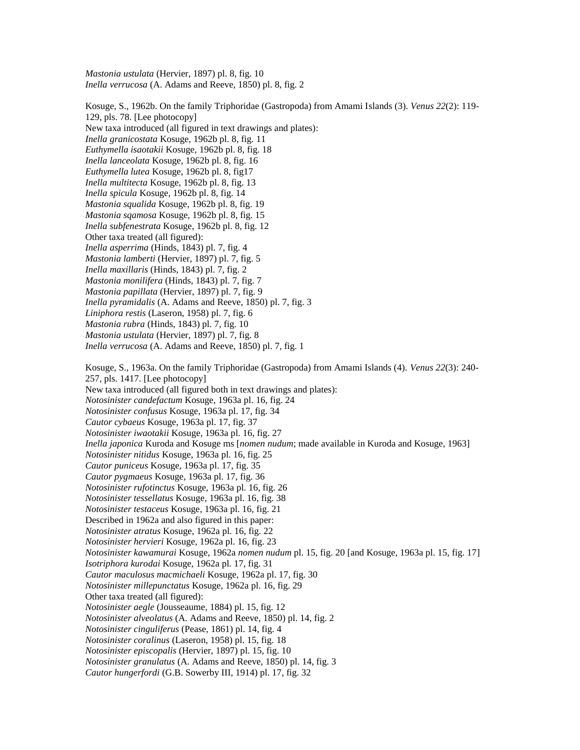*Mastonia ustulata* (Hervier, 1897) pl. 8, fig. 10 *Inella verrucosa* (A. Adams and Reeve, 1850) pl. 8, fig. 2

Kosuge, S., 1962b. On the family Triphoridae (Gastropoda) from Amami Islands (3). *Venus 22*(2): 119- 129, pls. 78. [Lee photocopy] New taxa introduced (all figured in text drawings and plates): *Inella granicostata* Kosuge, 1962b pl. 8, fig. 11 *Euthymella isaotakii* Kosuge, 1962b pl. 8, fig. 18 *Inella lanceolata* Kosuge, 1962b pl. 8, fig. 16 *Euthymella lutea* Kosuge, 1962b pl. 8, fig17 *Inella multitecta* Kosuge, 1962b pl. 8, fig. 13 *Inella spicula* Kosuge, 1962b pl. 8, fig. 14 *Mastonia squalida* Kosuge, 1962b pl. 8, fig. 19 *Mastonia sqamosa* Kosuge, 1962b pl. 8, fig. 15 *Inella subfenestrata* Kosuge, 1962b pl. 8, fig. 12 Other taxa treated (all figured): *Inella asperrima* (Hinds, 1843) pl. 7, fig. 4 *Mastonia lamberti* (Hervier, 1897) pl. 7, fig. 5 *Inella maxillaris* (Hinds, 1843) pl. 7, fig. 2 *Mastonia monilifera* (Hinds, 1843) pl. 7, fig. 7 *Mastonia papillata* (Hervier, 1897) pl. 7, fig. 9 *Inella pyramidalis* (A. Adams and Reeve, 1850) pl. 7, fig. 3 *Liniphora restis* (Laseron, 1958) pl. 7, fig. 6 *Mastonia rubra* (Hinds, 1843) pl. 7, fig. 10 *Mastonia ustulata* (Hervier, 1897) pl. 7, fig. 8 *Inella verrucosa* (A. Adams and Reeve, 1850) pl. 7, fig. 1 Kosuge, S., 1963a. On the family Triphoridae (Gastropoda) from Amami Islands (4). *Venus 22*(3): 240- 257, pls. 1417. [Lee photocopy] New taxa introduced (all figured both in text drawings and plates): *Notosinister candefactum* Kosuge, 1963a pl. 16, fig. 24 *Notosinister confusus* Kosuge, 1963a pl. 17, fig. 34 *Cautor cybaeus* Kosuge, 1963a pl. 17, fig. 37 *Notosinister iwaotakii* Kosuge, 1963a pl. 16, fig. 27 *Inella japonica* Kuroda and Kosuge ms [*nomen nudum*; made available in Kuroda and Kosuge, 1963] *Notosinister nitidus* Kosuge, 1963a pl. 16, fig. 25 *Cautor puniceus* Kosuge, 1963a pl. 17, fig. 35 *Cautor pygmaeus* Kosuge, 1963a pl. 17, fig. 36 *Notosinister rufotinctus* Kosuge, 1963a pl. 16, fig. 26 *Notosinister tessellatus* Kosuge, 1963a pl. 16, fig. 38 *Notosinister testaceus* Kosuge, 1963a pl. 16, fig. 21 Described in 1962a and also figured in this paper: *Notosinister atratus* Kosuge, 1962a pl. 16, fig. 22 *Notosinister hervieri* Kosuge, 1962a pl. 16, fig. 23 *Notosinister kawamurai* Kosuge, 1962a *nomen nudum* pl. 15, fig. 20 [and Kosuge, 1963a pl. 15, fig. 17] *Isotriphora kurodai* Kosuge, 1962a pl. 17, fig. 31 *Cautor maculosus macmichaeli* Kosuge, 1962a pl. 17, fig. 30 *Notosinister millepunctatus* Kosuge, 1962a pl. 16, fig. 29 Other taxa treated (all figured): *Notosinister aegle* (Jousseaume, 1884) pl. 15, fig. 12 *Notosinister alveolatus* (A. Adams and Reeve, 1850) pl. 14, fig. 2 *Notosinister cinguliferus* (Pease, 1861) pl. 14, fig. 4 *Notosinister coralinus* (Laseron, 1958) pl. 15, fig. 18 *Notosinister episcopalis* (Hervier, 1897) pl. 15, fig. 10 *Notosinister granulatus* (A. Adams and Reeve, 1850) pl. 14, fig. 3 *Cautor hungerfordi* (G.B. Sowerby III, 1914) pl. 17, fig. 32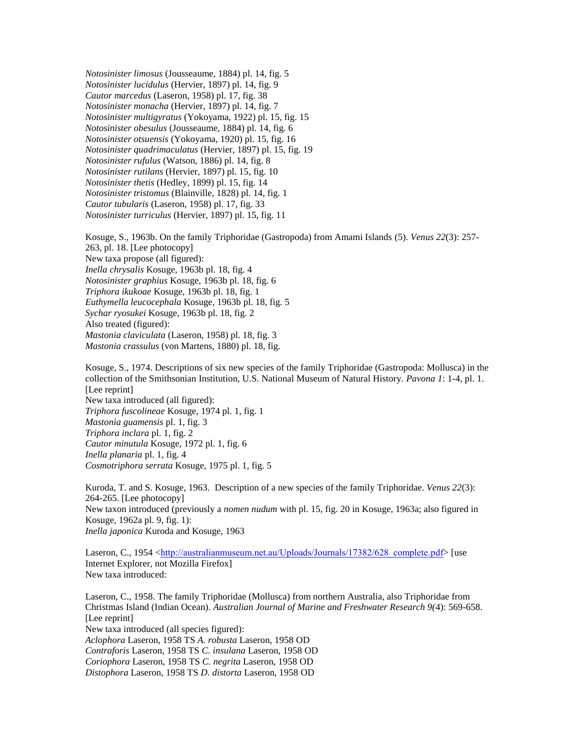*Notosinister limosus* (Jousseaume, 1884) pl. 14, fig. 5 *Notosinister lucidulus* (Hervier, 1897) pl. 14, fig. 9 *Cautor marcedus* (Laseron, 1958) pl. 17, fig. 38 *Notosinister monacha* (Hervier, 1897) pl. 14, fig. 7 *Notosinister multigyratus* (Yokoyama, 1922) pl. 15, fig. 15 *Notosinister obesulus* (Jousseaume, 1884) pl. 14, fig. 6 *Notosinister otsuensis* (Yokoyama, 1920) pl. 15, fig. 16 *Notosinister quadrimaculatus* (Hervier, 1897) pl. 15, fig. 19 *Notosinister rufulus* (Watson, 1886) pl. 14, fig. 8 *Notosinister rutilans* (Hervier, 1897) pl. 15, fig. 10 *Notosinister thetis* (Hedley, 1899) pl. 15, fig. 14 *Notosinister tristomus* (Blainville, 1828) pl. 14, fig. 1 *Cautor tubularis* (Laseron, 1958) pl. 17, fig. 33 *Notosinister turriculus* (Hervier, 1897) pl. 15, fig. 11

Kosuge, S., 1963b. On the family Triphoridae (Gastropoda) from Amami Islands (5). *Venus 22*(3): 257- 263, pl. 18. [Lee photocopy] New taxa propose (all figured): *Inella chrysalis* Kosuge, 1963b pl. 18, fig. 4 *Notosinister graphius* Kosuge, 1963b pl. 18, fig. 6 *Triphora ikukoae* Kosuge, 1963b pl. 18, fig. 1 *Euthymella leucocephala* Kosuge, 1963b pl. 18, fig. 5 *Sychar ryosukei* Kosuge, 1963b pl. 18, fig. 2 Also treated (figured): *Mastonia claviculata* (Laseron, 1958) pl. 18, fig. 3 *Mastonia crassulus* (von Martens, 1880) pl. 18, fig.

Kosuge, S., 1974. Descriptions of six new species of the family Triphoridae (Gastropoda: Mollusca) in the collection of the Smithsonian Institution, U.S. National Museum of Natural History. *Pavona 1*: 1-4, pl. 1. [Lee reprint] New taxa introduced (all figured): *Triphora fuscolineae* Kosuge, 1974 pl. 1, fig. 1 *Mastonia guamensis* pl. 1, fig. 3 *Triphora inclara* pl. 1, fig. 2 *Cautor minutula* Kosuge, 1972 pl. 1, fig. 6 *Inella planaria* pl. 1, fig. 4 *Cosmotriphora serrata* Kosuge, 1975 pl. 1, fig. 5

Kuroda, T. and S. Kosuge, 1963. Description of a new species of the family Triphoridae. *Venus 22*(3): 264-265. [Lee photocopy] New taxon introduced (previously a *nomen nudum* with pl. 15, fig. 20 in Kosuge, 1963a; also figured in Kosuge, 1962a pl. 9, fig. 1): *Inella japonica* Kuroda and Kosuge, 1963

Laseron, C., 1954 <[http://australianmuseum.net.au/Uploads/Journals/17382/628\\_complete.pdf](http://australianmuseum.net.au/Uploads/Journals/17382/628_complete.pdf)> [use Internet Explorer, not Mozilla Firefox] New taxa introduced:

Laseron, C., 1958. The family Triphoridae (Mollusca) from northern Australia, also Triphoridae from Christmas Island (Indian Ocean). *Australian Journal of Marine and Freshwater Research 9(*4): 569-658. [Lee reprint] New taxa introduced (all species figured): *Aclophora* Laseron, 1958 TS *A. robusta* Laseron, 1958 OD *Contraforis* Laseron, 1958 TS *C. insulana* Laseron, 1958 OD *Coriophora* Laseron, 1958 TS *C. negrita* Laseron, 1958 OD *Distophora* Laseron, 1958 TS *D. distorta* Laseron, 1958 OD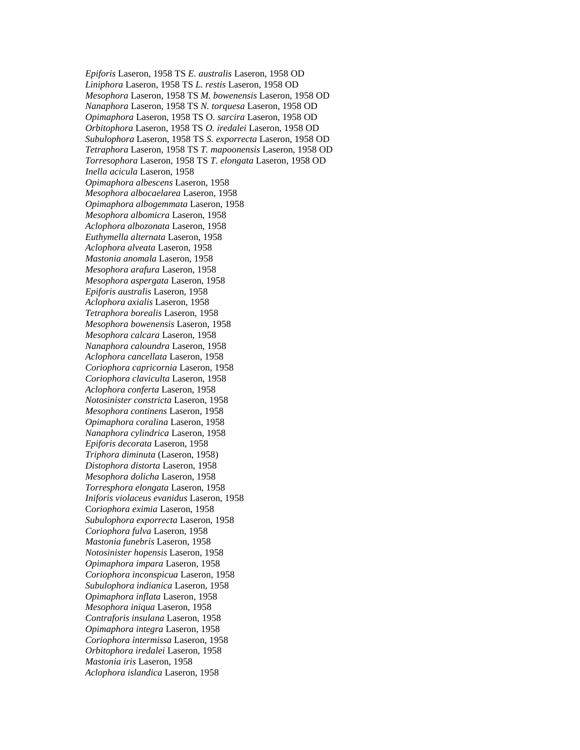*Epiforis* Laseron, 1958 TS *E. australis* Laseron, 1958 OD *Liniphora* Laseron, 1958 TS *L. restis* Laseron, 1958 OD *Mesophora* Laseron, 1958 TS *M. bowenensis* Laseron, 1958 OD *Nanaphora* Laseron, 1958 TS *N. torquesa* Laseron, 1958 OD *Opimaphora* Laseron, 1958 TS O*. sarcira* Laseron, 1958 OD *Orbitophora* Laseron, 1958 TS *O. iredalei* Laseron, 1958 OD *Subulophora* Laseron, 1958 TS *S. exporrecta* Laseron, 1958 OD *Tetraphora* Laseron, 1958 TS *T. mapoonensis* Laseron, 1958 OD *Torresophora* Laseron, 1958 TS *T. elongata* Laseron, 1958 OD *Inella acicula* Laseron, 1958 *Opimaphora albescens* Laseron, 1958 *Mesophora albocaelarea* Laseron, 1958 *Opimaphora albogemmata* Laseron, 1958 *Mesophora albomicra* Laseron, 1958 *Aclophora albozonata* Laseron, 1958 *Euthymella alternata* Laseron, 1958 *Aclophora alveata* Laseron, 1958 *Mastonia anomala* Laseron, 1958 *Mesophora arafura* Laseron, 1958 *Mesophora aspergata* Laseron, 1958 *Epiforis australis* Laseron, 1958 *Aclophora axialis* Laseron, 1958 *Tetraphora borealis* Laseron, 1958 *Mesophora bowenensis* Laseron, 1958 *Mesophora calcara* Laseron, 1958 *Nanaphora caloundra* Laseron, 1958 *Aclophora cancellata* Laseron, 1958 *Coriophora capricornia* Laseron, 1958 *Coriophora claviculta* Laseron, 1958 *Aclophora conferta* Laseron, 1958 *Notosinister constricta* Laseron, 1958 *Mesophora continens* Laseron, 1958 *Opimaphora coralina* Laseron, 1958 *Nanaphora cylindrica* Laseron, 1958 *Epiforis decorata* Laseron, 1958 *Triphora diminuta* (Laseron, 1958) *Distophora distorta* Laseron, 1958 *Mesophora dolicha* Laseron, 1958 *Torresphora elongata* Laseron, 1958 *Iniforis violaceus evanidus* Laseron, 1958 C*oriophora eximia* Laseron, 1958 *Subulophora exporrecta* Laseron, 1958 *Coriophora fulva* Laseron, 1958 *Mastonia funebris* Laseron, 1958 *Notosinister hopensis* Laseron, 1958 *Opimaphora impara* Laseron, 1958 *Coriophora inconspicua* Laseron, 1958 *Subulophora indianica* Laseron, 1958 *Opimaphora inflata* Laseron, 1958 *Mesophora iniqua* Laseron, 1958 *Contraforis insulana* Laseron, 1958 *Opimaphora integra* Laseron, 1958 *Coriophora intermissa* Laseron, 1958 *Orbitophora iredalei* Laseron, 1958 *Mastonia iris* Laseron, 1958 *Aclophora islandica* Laseron, 1958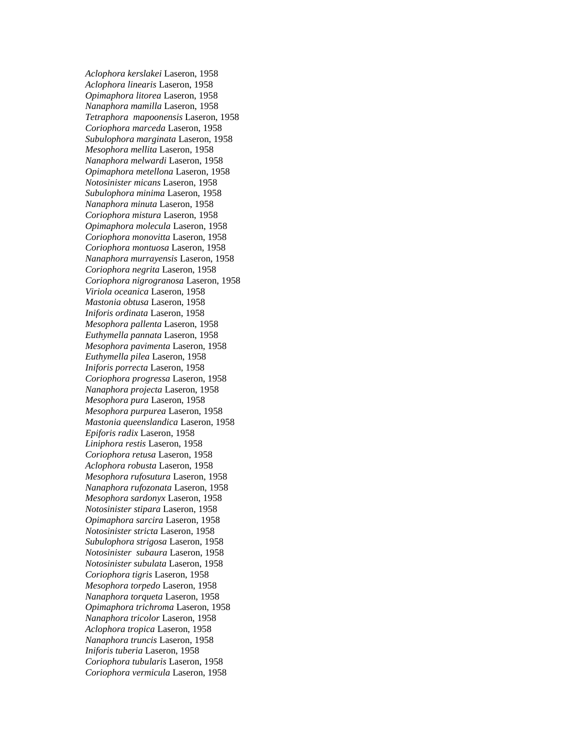*Aclophora kerslakei* Laseron, 1958 *Aclophora linearis* Laseron, 1958 *Opimaphora litorea* Laseron, 1958 *Nanaphora mamilla* Laseron, 1958 *Tetraphora mapoonensis* Laseron, 1958 *Coriophora marceda* Laseron, 1958 *Subulophora marginata* Laseron, 1958 *Mesophora mellita* Laseron, 1958 *Nanaphora melwardi* Laseron, 1958 *Opimaphora metellona* Laseron, 1958 *Notosinister micans* Laseron, 1958 *Subulophora minima* Laseron, 1958 *Nanaphora minuta* Laseron, 1958 *Coriophora mistura* Laseron, 1958 *Opimaphora molecula* Laseron, 1958 *Coriophora monovitta* Laseron, 1958 *Coriophora montuosa* Laseron, 1958 *Nanaphora murrayensis* Laseron, 1958 *Coriophora negrita* Laseron, 1958 *Coriophora nigrogranosa* Laseron, 1958 *Viriola oceanica* Laseron, 1958 *Mastonia obtusa* Laseron, 1958 *Iniforis ordinata* Laseron, 1958 *Mesophora pallenta* Laseron, 1958 *Euthymella pannata* Laseron, 1958 *Mesophora pavimenta* Laseron, 1958 *Euthymella pilea* Laseron, 1958 *Iniforis porrecta* Laseron, 1958 *Coriophora progressa* Laseron, 1958 *Nanaphora projecta* Laseron, 1958 *Mesophora pura* Laseron, 1958 *Mesophora purpurea* Laseron, 1958 *Mastonia queenslandica* Laseron, 1958 *Epiforis radix* Laseron, 1958 *Liniphora restis* Laseron, 1958 *Coriophora retusa* Laseron, 1958 *Aclophora robusta* Laseron, 1958 *Mesophora rufosutura* Laseron, 1958 *Nanaphora rufozonata* Laseron, 1958 *Mesophora sardonyx* Laseron, 1958 *Notosinister stipara* Laseron, 1958 *Opimaphora sarcira* Laseron, 1958 *Notosinister stricta* Laseron, 1958 *Subulophora strigosa* Laseron, 1958 *Notosinister subaura* Laseron, 1958 *Notosinister subulata* Laseron, 1958 *Coriophora tigris* Laseron, 1958 *Mesophora torpedo* Laseron, 1958 *Nanaphora torqueta* Laseron, 1958 *Opimaphora trichroma* Laseron, 1958 *Nanaphora tricolor* Laseron, 1958 *Aclophora tropica* Laseron, 1958 *Nanaphora truncis* Laseron, 1958 *Iniforis tuberia* Laseron, 1958 *Coriophora tubularis* Laseron, 1958 *Coriophora vermicula* Laseron, 1958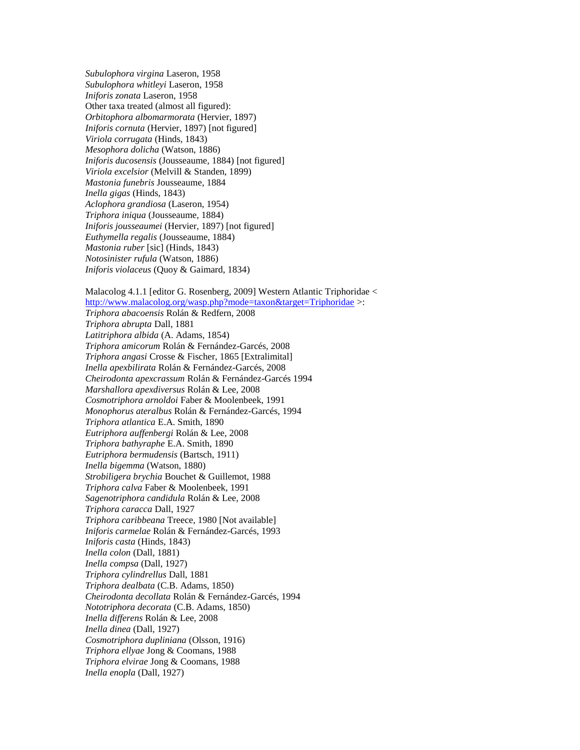*Subulophora virgina* Laseron, 1958 *Subulophora whitleyi* Laseron, 1958 *Iniforis zonata* Laseron, 1958 Other taxa treated (almost all figured): *Orbitophora albomarmorata* (Hervier, 1897) *Iniforis cornuta* (Hervier, 1897) [not figured] *Viriola corrugata* (Hinds, 1843) *Mesophora dolicha* (Watson, 1886) *Iniforis ducosensis* (Jousseaume, 1884) [not figured] *Viriola excelsior* (Melvill & Standen, 1899) *Mastonia funebris* Jousseaume, 1884 *Inella gigas* (Hinds, 1843) *Aclophora grandiosa* (Laseron, 1954) *Triphora iniqua* (Jousseaume, 1884) *Iniforis jousseaumei* (Hervier, 1897) [not figured] *Euthymella regalis* (Jousseaume, 1884) *Mastonia ruber* [sic] (Hinds, 1843) *Notosinister rufula* (Watson, 1886) *Iniforis violaceus* (Quoy & Gaimard, 1834)

Malacolog 4.1.1 [editor G. Rosenberg, 2009] Western Atlantic Triphoridae < <http://www.malacolog.org/wasp.php?mode=taxon&target=Triphoridae> >: *Triphora abacoensis* Rolán & Redfern, 2008 *Triphora abrupta* Dall, 1881 *Latitriphora albida* (A. Adams, 1854) *Triphora amicorum* Rolán & Fernández-Garcés, 2008 *Triphora angasi* Crosse & Fischer, 1865 [Extralimital] *Inella apexbilirata* Rolán & Fernández-Garcés, 2008 *Cheirodonta apexcrassum* Rolán & Fernández-Garcés 1994 *Marshallora apexdiversus* Rolán & Lee, 2008 *Cosmotriphora arnoldoi* Faber & Moolenbeek, 1991 *Monophorus ateralbus* Rolán & Fernández-Garcés, 1994 *Triphora atlantica* E.A. Smith, 1890 *Eutriphora auffenbergi* Rolán & Lee, 2008 *Triphora bathyraphe* E.A. Smith, 1890 *Eutriphora bermudensis* (Bartsch, 1911) *Inella bigemma* (Watson, 1880) *Strobiligera brychia* Bouchet & Guillemot, 1988 *Triphora calva* Faber & Moolenbeek, 1991 *Sagenotriphora candidula* Rolán & Lee, 2008 *Triphora caracca* Dall, 1927 *Triphora caribbeana* Treece, 1980 [Not available] *Iniforis carmelae* Rolán & Fernández-Garcés, 1993 *Iniforis casta* (Hinds, 1843) *Inella colon* (Dall, 1881) *Inella compsa* (Dall, 1927) *Triphora cylindrellus* Dall, 1881 *Triphora dealbata* (C.B. Adams, 1850) *Cheirodonta decollata* Rolán & Fernández-Garcés, 1994 *Nototriphora decorata* (C.B. Adams, 1850) *Inella differens* Rolán & Lee, 2008 *Inella dinea* (Dall, 1927) *Cosmotriphora dupliniana* (Olsson, 1916) *Triphora ellyae* Jong & Coomans, 1988 *Triphora elvirae* Jong & Coomans, 1988 *Inella enopla* (Dall, 1927)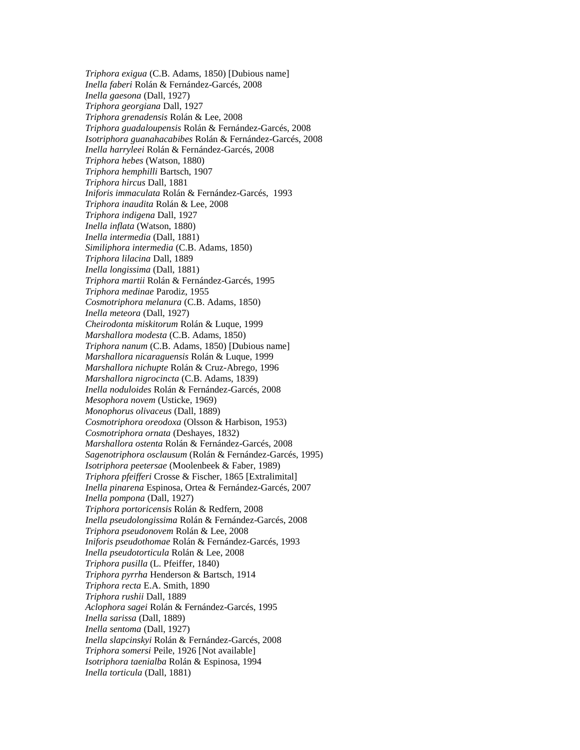*Triphora exigua* (C.B. Adams, 1850) [Dubious name] *Inella faberi* Rolán & Fernández-Garcés, 2008 *Inella gaesona* (Dall, 1927) *Triphora georgiana* Dall, 1927 *Triphora grenadensis* Rolán & Lee, 2008 *Triphora guadaloupensis* Rolán & Fernández-Garcés, 2008 *Isotriphora guanahacabibes* Rolán & Fernández-Garcés, 2008 *Inella harryleei* Rolán & Fernández-Garcés, 2008 *Triphora hebes* (Watson, 1880) *Triphora hemphilli* Bartsch, 1907 *Triphora hircus* Dall, 1881 *Iniforis immaculata* Rolán & Fernández-Garcés, 1993 *Triphora inaudita* Rolán & Lee, 2008 *Triphora indigena* Dall, 1927 *Inella inflata* (Watson, 1880) *Inella intermedia* (Dall, 1881) *Similiphora intermedia* (C.B. Adams, 1850) *Triphora lilacina* Dall, 1889 *Inella longissima* (Dall, 1881) *Triphora martii* Rolán & Fernández-Garcés, 1995 *Triphora medinae* Parodiz, 1955 *Cosmotriphora melanura* (C.B. Adams, 1850) *Inella meteora* (Dall, 1927) *Cheirodonta miskitorum* Rolán & Luque, 1999 *Marshallora modesta* (C.B. Adams, 1850) *Triphora nanum* (C.B. Adams, 1850) [Dubious name] *Marshallora nicaraguensis* Rolán & Luque, 1999 *Marshallora nichupte* Rolán & Cruz-Abrego, 1996 *Marshallora nigrocincta* (C.B. Adams, 1839) *Inella noduloides* Rolán & Fernández-Garcés, 2008 *Mesophora novem* (Usticke, 1969) *Monophorus olivaceus* (Dall, 1889) *Cosmotriphora oreodoxa* (Olsson & Harbison, 1953) *Cosmotriphora ornata* (Deshayes, 1832) *Marshallora ostenta* Rolán & Fernández-Garcés, 2008 *Sagenotriphora osclausum* (Rolán & Fernández-Garcés, 1995) *Isotriphora peetersae* (Moolenbeek & Faber, 1989) *Triphora pfeifferi* Crosse & Fischer, 1865 [Extralimital] *Inella pinarena* Espinosa, Ortea & Fernández-Garcés, 2007 *Inella pompona* (Dall, 1927) *Triphora portoricensis* Rolán & Redfern, 2008 *Inella pseudolongissima* Rolán & Fernández-Garcés, 2008 *Triphora pseudonovem* Rolán & Lee, 2008 *Iniforis pseudothomae* Rolán & Fernández-Garcés, 1993 *Inella pseudotorticula* Rolán & Lee, 2008 *Triphora pusilla* (L. Pfeiffer, 1840) *Triphora pyrrha* Henderson & Bartsch, 1914 *Triphora recta* E.A. Smith, 1890 *Triphora rushii* Dall, 1889 *Aclophora sagei* Rolán & Fernández-Garcés, 1995 *Inella sarissa* (Dall, 1889) *Inella sentoma* (Dall, 1927) *Inella slapcinskyi* Rolán & Fernández-Garcés, 2008 *Triphora somersi* Peile, 1926 [Not available] *Isotriphora taenialba* Rolán & Espinosa, 1994 *Inella torticula* (Dall, 1881)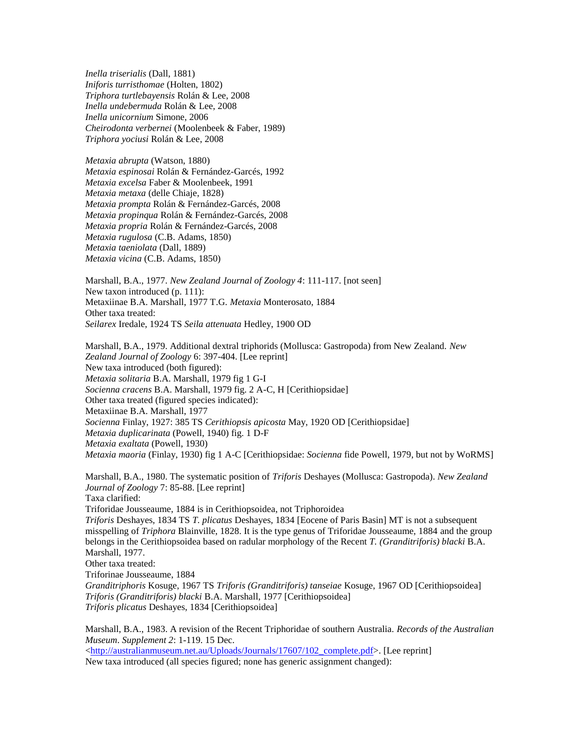*Inella triserialis* (Dall, 1881) *Iniforis turristhomae* (Holten, 1802) *Triphora turtlebayensis* Rolán & Lee, 2008 *Inella undebermuda* Rolán & Lee, 2008 *Inella unicornium* Simone, 2006 *Cheirodonta verbernei* (Moolenbeek & Faber, 1989) *Triphora yociusi* Rolán & Lee, 2008

*Metaxia abrupta* (Watson, 1880) *Metaxia espinosai* Rolán & Fernández-Garcés, 1992 *Metaxia excelsa* Faber & Moolenbeek, 1991 *Metaxia metaxa* (delle Chiaje, 1828) *Metaxia prompta* Rolán & Fernández-Garcés, 2008 *Metaxia propinqua* Rolán & Fernández-Garcés, 2008 *Metaxia propria* Rolán & Fernández-Garcés, 2008 *Metaxia rugulosa* (C.B. Adams, 1850) *Metaxia taeniolata* (Dall, 1889) *Metaxia vicina* (C.B. Adams, 1850)

Marshall, B.A., 1977. *New Zealand Journal of Zoology 4*: 111-117. [not seen] New taxon introduced (p. 111): Metaxiinae B.A. Marshall, 1977 T.G. *Metaxia* Monterosato, 1884 Other taxa treated: *Seilarex* Iredale, 1924 TS *Seila attenuata* Hedley, 1900 OD

Marshall, B.A., 1979. Additional dextral triphorids (Mollusca: Gastropoda) from New Zealand. *New Zealand Journal of Zoology* 6: 397-404. [Lee reprint] New taxa introduced (both figured): *Metaxia solitaria* B.A. Marshall, 1979 fig 1 G-I *Socienna cracens* B.A. Marshall, 1979 fig. 2 A-C, H [Cerithiopsidae] Other taxa treated (figured species indicated): Metaxiinae B.A. Marshall, 1977 *Socienna* Finlay, 1927: 385 TS *Cerithiopsis apicosta* May, 1920 OD [Cerithiopsidae] *Metaxia duplicarinata* (Powell, 1940) fig. 1 D-F *Metaxia exaltata* (Powell, 1930) *Metaxia maoria* (Finlay, 1930) fig 1 A-C [Cerithiopsidae: *Socienna* fide Powell, 1979, but not by WoRMS]

Marshall, B.A., 1980. The systematic position of *Triforis* Deshayes (Mollusca: Gastropoda). *New Zealand Journal of Zoology* 7: 85-88. [Lee reprint] Taxa clarified: Triforidae Jousseaume, 1884 is in Cerithiopsoidea, not Triphoroidea *Triforis* Deshayes, 1834 TS *T. plicatus* Deshayes, 1834 [Eocene of Paris Basin] MT is not a subsequent misspelling of *Triphora* Blainville, 1828. It is the type genus of Triforidae Jousseaume, 1884 and the group belongs in the Cerithiopsoidea based on radular morphology of the Recent *T. (Granditriforis) blacki* B.A. Marshall, 1977. Other taxa treated: Triforinae Jousseaume, 1884 *Granditriphoris* Kosuge, 1967 TS *Triforis (Granditriforis) tanseiae* Kosuge, 1967 OD [Cerithiopsoidea] *Triforis (Granditriforis) blacki* B.A. Marshall, 1977 [Cerithiopsoidea] *Triforis plicatus* Deshayes, 1834 [Cerithiopsoidea]

Marshall, B.A., 1983. A revision of the Recent Triphoridae of southern Australia. *Records of the Australian Museum*. *Supplement 2*: 1-119. 15 Dec.

[<http://australianmuseum.net.au/Uploads/Journals/17607/102\\_complete.pdf>](http://australianmuseum.net.au/Uploads/Journals/17607/102_complete.pdf). [Lee reprint] New taxa introduced (all species figured; none has generic assignment changed):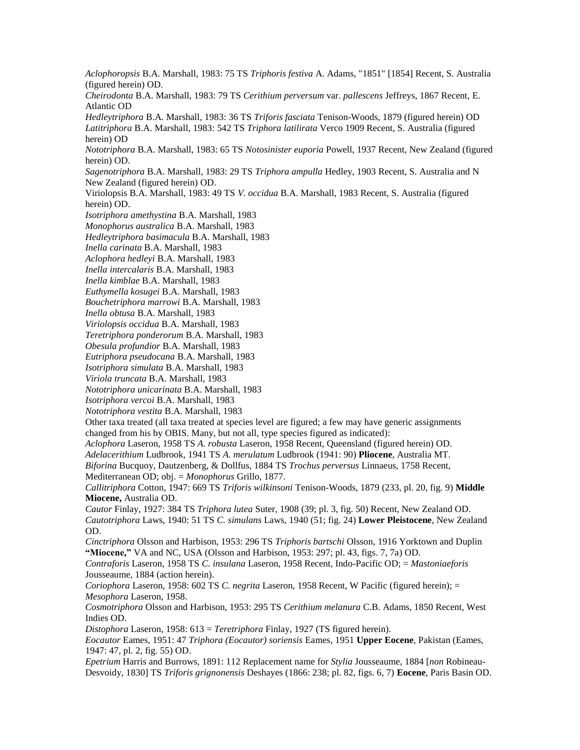*Aclophoropsis* B.A. Marshall, 1983: 75 TS *Triphoris festiva* A. Adams, "1851" [1854] Recent, S. Australia (figured herein) OD.

*Cheirodonta* B.A. Marshall, 1983: 79 TS *Cerithium perversum* var. *pallescens* Jeffreys, 1867 Recent, E. Atlantic OD

*Hedleytriphora* B.A. Marshall, 1983: 36 TS *Triforis fasciata* Tenison-Woods, 1879 (figured herein) OD *Latitriphora* B.A. Marshall, 1983: 542 TS *Triphora latilirata* Verco 1909 Recent, S. Australia (figured herein) OD

*Nototriphora* B.A. Marshall, 1983: 65 TS *Notosinister euporia* Powell, 1937 Recent, New Zealand (figured herein) OD.

*Sagenotriphora* B.A. Marshall, 1983: 29 TS *Triphora ampulla* Hedley, 1903 Recent, S. Australia and N New Zealand (figured herein) OD.

Viriolopsis B.A. Marshall, 1983: 49 TS *V. occidua* B.A. Marshall, 1983 Recent, S. Australia (figured herein) OD.

*Isotriphora amethystina* B.A. Marshall, 1983

*Monophorus australica* B.A. Marshall, 1983

*Hedleytriphora basimacula* B.A. Marshall, 1983

*Inella carinata* B.A. Marshall, 1983

*Aclophora hedleyi* B.A. Marshall, 1983

*Inella intercalaris* B.A. Marshall, 1983

*Inella kimblae* B.A. Marshall, 1983

*Euthymella kosugei* B.A. Marshall, 1983

*Bouchetriphora marrowi* B.A. Marshall, 1983

*Inella obtusa* B.A. Marshall, 1983

*Viriolopsis occidua* B.A. Marshall, 1983

*Teretriphora ponderorum* B.A. Marshall, 1983

*Obesula profundior* B.A. Marshall, 1983

*Eutriphora pseudocana* B.A. Marshall, 1983

*Isotriphora simulata* B.A. Marshall, 1983

*Viriola truncata* B.A. Marshall, 1983

*Nototriphora unicarinata* B.A. Marshall, 1983

*Isotriphora vercoi* B.A. Marshall, 1983

*Nototriphora vestita* B.A. Marshall, 1983

Other taxa treated (all taxa treated at species level are figured; a few may have generic assignments changed from his by OBIS. Many, but not all, type species figured as indicated):

*Aclophora* Laseron, 1958 TS *A. robusta* Laseron, 1958 Recent, Queensland (figured herein) OD.

*Adelacerithium* Ludbrook, 1941 TS *A. merulatum* Ludbrook (1941: 90) **Pliocene**, Australia MT.

*Biforina* Bucquoy, Dautzenberg, & Dollfus, 1884 TS *Trochus perversus* Linnaeus, 1758 Recent, Mediterranean OD; obj. = *Monophorus* Grillo, 1877.

*Callitriphora* Cotton, 1947: 669 TS *Triforis wilkinsoni* Tenison-Woods, 1879 (233, pl. 20, fig. 9) **Middle Miocene,** Australia OD.

*Cautor* Finlay, 1927: 384 TS *Triphora lutea* Suter, 1908 (39; pl. 3, fig. 50) Recent, New Zealand OD. *Cautotriphora* Laws, 1940: 51 TS *C. simulans* Laws, 1940 (51; fig. 24) **Lower Pleistocene**, New Zealand OD.

*Cinctriphora* Olsson and Harbison, 1953: 296 TS *Triphoris bartschi* Olsson, 1916 Yorktown and Duplin **"Miocene,"** VA and NC, USA (Olsson and Harbison, 1953: 297; pl. 43, figs. 7, 7a) OD.

*Contraforis* Laseron, 1958 TS *C. insulana* Laseron, 1958 Recent, Indo-Pacific OD; = *Mastoniaeforis* Jousseaume, 1884 (action herein).

*Coriophora* Laseron, 1958: 602 TS *C. negrita* Laseron, 1958 Recent, W Pacific (figured herein); = *Mesophora* Laseron, 1958.

*Cosmotriphora* Olsson and Harbison, 1953: 295 TS *Cerithium melanura* C.B. Adams, 1850 Recent, West Indies OD.

*Distophora* Laseron, 1958: 613 = *Teretriphora* Finlay, 1927 (TS figured herein).

*Eocautor* Eames, 1951: 47 *Triphora (Eocautor) soriensis* Eames, 1951 **Upper Eocene**, Pakistan (Eames, 1947: 47, pl. 2, fig. 55) OD.

*Epetrium* Harris and Burrows, 1891: 112 Replacement name for *Stylia* Jousseaume, 1884 [*non* Robineau-Desvoidy, 1830] TS *Triforis grignonensis* Deshayes (1866: 238; pl. 82, figs. 6, 7) **Eocene**, Paris Basin OD.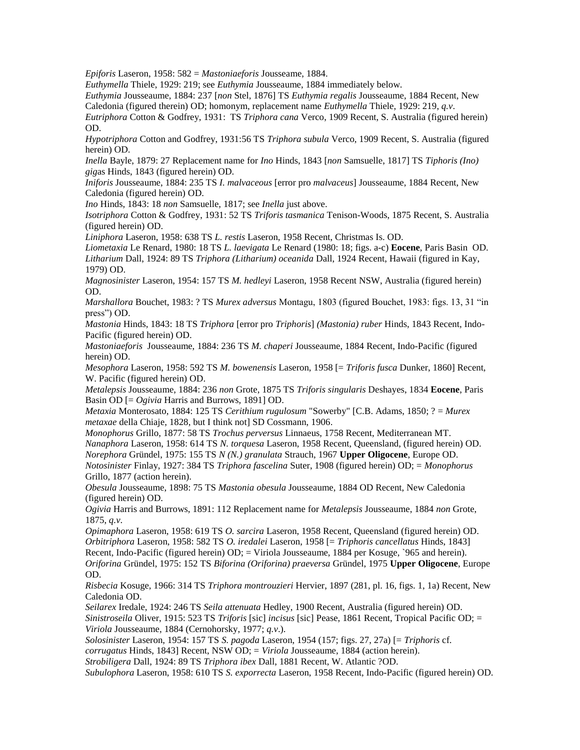*Epiforis* Laseron, 1958: 582 = *Mastoniaeforis* Jousseame, 1884.

*Euthymella* Thiele, 1929: 219; see *Euthymia* Jousseaume, 1884 immediately below.

*Euthymia* Jousseaume, 1884: 237 [*non* Stel, 1876] TS *Euthymia regalis* Jousseaume, 1884 Recent, New

Caledonia (figured therein) OD; homonym, replacement name *Euthymella* Thiele, 1929: 219, *q.v*.

*Eutriphora* Cotton & Godfrey, 1931: TS *Triphora cana* Verco, 1909 Recent, S. Australia (figured herein) OD.

*Hypotriphora* Cotton and Godfrey, 1931:56 TS *Triphora subula* Verco, 1909 Recent, S. Australia (figured herein) OD.

*Inella* Bayle, 1879: 27 Replacement name for *Ino* Hinds, 1843 [*non* Samsuelle, 1817] TS *Tiphoris (Ino) gig*as Hinds, 1843 (figured herein) OD.

*Iniforis* Jousseaume, 1884: 235 TS *I. malvaceous* [error pro *malvaceus*] Jousseaume, 1884 Recent, New Caledonia (figured herein) OD.

*Ino* Hinds, 1843: 18 *non* Samsuelle, 1817; see *Inella* just above.

*Isotriphora* Cotton & Godfrey, 1931: 52 TS *Triforis tasmanica* Tenison-Woods, 1875 Recent, S. Australia (figured herein) OD.

*Liniphora* Laseron, 1958: 638 TS *L. restis* Laseron, 1958 Recent, Christmas Is. OD.

*Liometaxia* Le Renard, 1980: 18 TS *L. laevigata* Le Renard (1980: 18; figs. a-c) **Eocene**, Paris Basin OD. *Litharium* Dall, 1924: 89 TS *Triphora (Litharium) oceanida* Dall, 1924 Recent, Hawaii (figured in Kay, 1979) OD.

*Magnosinister* Laseron, 1954: 157 TS *M. hedleyi* Laseron, 1958 Recent NSW, Australia (figured herein) OD.

*Marshallora* Bouchet, 1983: ? TS *Murex adversus* Montagu, 1803 (figured Bouchet, 1983: figs. 13, 31 "in press") OD.

*Mastonia* Hinds, 1843: 18 TS *Triphora* [error pro *Triphoris*] *(Mastonia) ruber* Hinds, 1843 Recent, Indo-Pacific (figured herein) OD.

*Mastoniaeforis* Jousseaume, 1884: 236 TS *M. chaperi* Jousseaume, 1884 Recent, Indo-Pacific (figured herein) OD.

*Mesophora* Laseron, 1958: 592 TS *M. bowenensis* Laseron, 1958 [= *Triforis fusca* Dunker, 1860] Recent, W. Pacific (figured herein) OD.

*Metalepsis* Jousseaume, 1884: 236 *non* Grote, 1875 TS *Triforis singularis* Deshayes, 1834 **Eocene**, Paris Basin OD [= *Ogivia* Harris and Burrows, 1891] OD.

*Metaxia* Monterosato, 1884: 125 TS *Cerithium rugulosum* "Sowerby" [C.B. Adams, 1850; ? = *Murex metaxae* della Chiaje, 1828, but I think not] SD Cossmann, 1906.

*Monophorus* Grillo, 1877: 58 TS *Trochus perversus* Linnaeus, 1758 Recent, Mediterranean MT. *Nanaphora* Laseron, 1958: 614 TS *N. torquesa* Laseron, 1958 Recent, Queensland, (figured herein) OD. *Norephora* Gründel, 1975: 155 TS *N (N.) granulata* Strauch, 1967 **Upper Oligocene**, Europe OD. *Notosinister* Finlay, 1927: 384 TS *Triphora fascelina* Suter, 1908 (figured herein) OD; = *Monophorus* Grillo, 1877 (action herein).

*Obesula* Jousseaume, 1898: 75 TS *Mastonia obesula* Jousseaume, 1884 OD Recent, New Caledonia (figured herein) OD.

*Ogivia* Harris and Burrows, 1891: 112 Replacement name for *Metalepsis* Jousseaume, 1884 *non* Grote, 1875, *q.v*.

*Opimaphora* Laseron, 1958: 619 TS *O. sarcira* Laseron, 1958 Recent, Queensland (figured herein) OD. *Orbitriphora* Laseron, 1958: 582 TS *O. iredalei* Laseron, 1958 [= *Triphoris cancellatus* Hinds, 1843] Recent, Indo-Pacific (figured herein) OD; = Viriola Jousseaume, 1884 per Kosuge, `965 and herein). *Oriforina* Gründel, 1975: 152 TS *Biforina (Oriforina) praeversa* Gründel, 1975 **Upper Oligocene**, Europe OD.

*Risbecia* Kosuge, 1966: 314 TS *Triphora montrouzieri* Hervier, 1897 (281, pl. 16, figs. 1, 1a) Recent, New Caledonia OD.

*Seilarex* Iredale, 1924: 246 TS *Seila attenuata* Hedley, 1900 Recent, Australia (figured herein) OD. *Sinistroseila* Oliver, 1915: 523 TS *Triforis* [sic] *incisus* [sic] Pease, 1861 Recent, Tropical Pacific OD; = *Viriola* Jousseaume, 1884 (Cernohorsky, 1977; *q.v*.).

*Solosinister* Laseron, 1954: 157 TS *S. pagoda* Laseron, 1954 (157; figs. 27, 27a) [= *Triphoris* cf.

*corrugatus* Hinds, 1843] Recent, NSW OD; = *Viriola* Jousseaume, 1884 (action herein).

*Strobiligera* Dall, 1924: 89 TS *Triphora ibex* Dall, 1881 Recent, W. Atlantic ?OD.

*Subulophora* Laseron, 1958: 610 TS *S. exporrecta* Laseron, 1958 Recent, Indo-Pacific (figured herein) OD.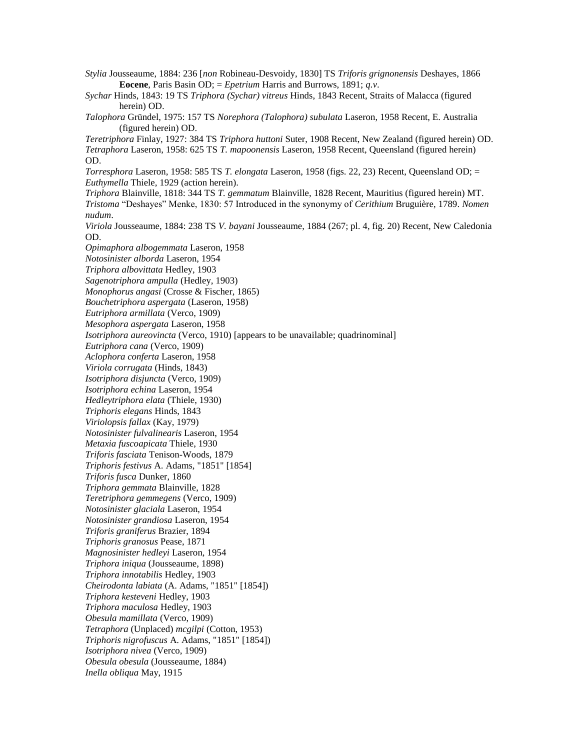*Stylia* Jousseaume, 1884: 236 [*non* Robineau-Desvoidy, 1830] TS *Triforis grignonensis* Deshayes, 1866 **Eocene**, Paris Basin OD; = *Epetrium* Harris and Burrows, 1891; *q.v*. *Sychar* Hinds, 1843: 19 TS *Triphora (Sychar) vitreus* Hinds, 1843 Recent, Straits of Malacca (figured herein) OD. *Talophora* Gründel, 1975: 157 TS *Norephora (Talophora) subulata* Laseron, 1958 Recent, E. Australia (figured herein) OD. *Teretriphora* Finlay, 1927: 384 TS *Triphora huttoni* Suter, 1908 Recent, New Zealand (figured herein) OD. *Tetraphora* Laseron, 1958: 625 TS *T. mapoonensis* Laseron, 1958 Recent, Queensland (figured herein) OD. *Torresphora* Laseron, 1958: 585 TS *T. elongata* Laseron, 1958 (figs. 22, 23) Recent, Queensland OD; = *Euthymella* Thiele, 1929 (action herein). *Triphora* Blainville, 1818: 344 TS *T. gemmatum* Blainville, 1828 Recent, Mauritius (figured herein) MT. *Tristoma* "Deshayes" Menke, 1830: 57 Introduced in the synonymy of *Cerithium* Bruguière, 1789. *Nomen nudum*. *Viriola* Jousseaume, 1884: 238 TS *V. bayani* Jousseaume, 1884 (267; pl. 4, fig. 20) Recent, New Caledonia OD. *Opimaphora albogemmata* Laseron, 1958 *Notosinister alborda* Laseron, 1954 *Triphora albovittata* Hedley, 1903 *Sagenotriphora ampulla* (Hedley, 1903) *Monophorus angasi* (Crosse & Fischer, 1865) *Bouchetriphora aspergata* (Laseron, 1958) *Eutriphora armillata* (Verco, 1909) *Mesophora aspergata* Laseron, 1958 *Isotriphora aureovincta* (Verco, 1910) [appears to be unavailable; quadrinominal] *Eutriphora cana* (Verco, 1909) *Aclophora conferta* Laseron, 1958 *Viriola corrugata* (Hinds, 1843) *Isotriphora disjuncta* (Verco, 1909) *Isotriphora echina* Laseron, 1954 *Hedleytriphora elata* (Thiele, 1930) *Triphoris elegans* Hinds, 1843 *Viriolopsis fallax* (Kay, 1979) *Notosinister fulvalinearis* Laseron, 1954 *Metaxia fuscoapicata* Thiele, 1930 *Triforis fasciata* Tenison-Woods, 1879 *Triphoris festivus* A. Adams, "1851" [1854] *Triforis fusca* Dunker, 1860 *Triphora gemmata* Blainville, 1828 *Teretriphora gemmegens* (Verco, 1909) *Notosinister glaciala* Laseron, 1954 *Notosinister grandiosa* Laseron, 1954 *Triforis graniferus* Brazier, 1894 *Triphoris granosus* Pease, 1871 *Magnosinister hedleyi* Laseron, 1954 *Triphora iniqua* (Jousseaume, 1898) *Triphora innotabilis* Hedley, 1903 *Cheirodonta labiata* (A. Adams, "1851" [1854]) *Triphora kesteveni* Hedley, 1903 *Triphora maculosa* Hedley, 1903 *Obesula mamillata* (Verco, 1909) *Tetraphora* (Unplaced) *mcgilpi* (Cotton, 1953) *Triphoris nigrofuscus* A. Adams, "1851" [1854]) *Isotriphora nivea* (Verco, 1909) *Obesula obesula* (Jousseaume, 1884) *Inella obliqua* May, 1915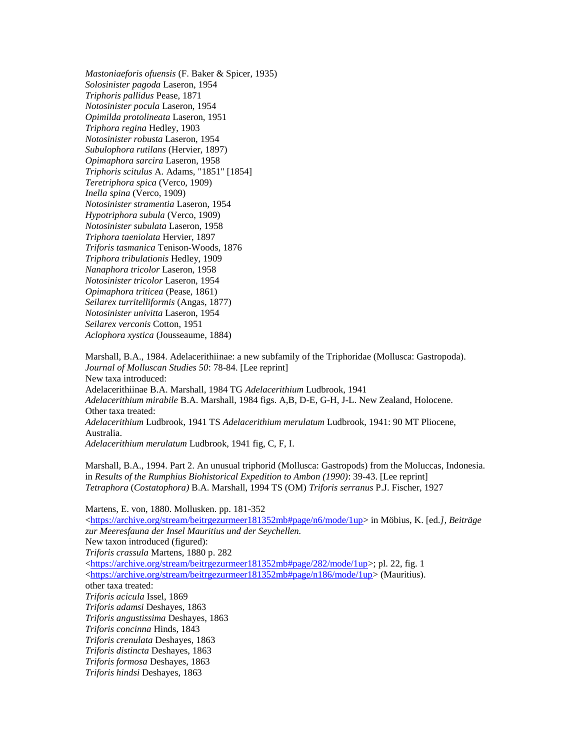*Mastoniaeforis ofuensis* (F. Baker & Spicer, 1935) *Solosinister pagoda* Laseron, 1954 *Triphoris pallidus* Pease, 1871 *Notosinister pocula* Laseron, 1954 *Opimilda protolineata* Laseron, 1951 *Triphora regina* Hedley, 1903 *Notosinister robusta* Laseron, 1954 *Subulophora rutilans* (Hervier, 1897) *Opimaphora sarcira* Laseron, 1958 *Triphoris scitulus* A. Adams, "1851" [1854] *Teretriphora spica* (Verco, 1909) *Inella spina* (Verco, 1909) *Notosinister stramentia* Laseron, 1954 *Hypotriphora subula* (Verco, 1909) *Notosinister subulata* Laseron, 1958 *Triphora taeniolata* Hervier, 1897 *Triforis tasmanica* Tenison-Woods, 1876 *Triphora tribulationis* Hedley, 1909 *Nanaphora tricolor* Laseron, 1958 *Notosinister tricolor* Laseron, 1954 *Opimaphora triticea* (Pease, 1861) *Seilarex turritelliformis* (Angas, 1877) *Notosinister univitta* Laseron, 1954 *Seilarex verconis* Cotton, 1951 *Aclophora xystica* (Jousseaume, 1884)

Marshall, B.A., 1984. Adelacerithiinae: a new subfamily of the Triphoridae (Mollusca: Gastropoda). *Journal of Molluscan Studies 50*: 78-84. [Lee reprint] New taxa introduced: Adelacerithiinae B.A. Marshall, 1984 TG *Adelacerithium* Ludbrook, 1941 *Adelacerithium mirabile* B.A. Marshall, 1984 figs. A,B, D-E, G-H, J-L. New Zealand, Holocene. Other taxa treated: *Adelacerithium* Ludbrook, 1941 TS *Adelacerithium merulatum* Ludbrook, 1941: 90 MT Pliocene, Australia. *Adelacerithium merulatum* Ludbrook, 1941 fig, C, F, I.

Marshall, B.A., 1994. Part 2. An unusual triphorid (Mollusca: Gastropods) from the Moluccas, Indonesia. in *Results of the Rumphius Biohistorical Expedition to Ambon (1990)*: 39-43. [Lee reprint]

*Tetraphora* (*Costatophora)* B.A. Marshall, 1994 TS (OM) *Triforis serranus* P.J. Fischer, 1927

Martens, E. von, 1880. Mollusken. pp. 181-352

 $\langle$ https://archive.org/stream/beitrgezurmeer181352mb#page/n6/mode/1up> in Möbius, K. [ed.], Beiträge *zur Meeresfauna der Insel Mauritius und der Seychellen.* New taxon introduced (figured): *Triforis crassula* Martens, 1880 p. 282  $\langle$ https://archive.org/stream/beitrgezurmeer181352mb#page/282/mode/1up>; pl. 22, fig. 1 [<https://archive.org/stream/beitrgezurmeer181352mb#page/n186/mode/1up>](https://archive.org/stream/beitrgezurmeer181352mb#page/n186/mode/1up) (Mauritius). other taxa treated: *Triforis acicula* Issel, 1869 *Triforis adamsi* Deshayes, 1863 *Triforis angustissima* Deshayes, 1863 *Triforis concinna* Hinds, 1843 *Triforis crenulata* Deshayes, 1863 *Triforis distincta* Deshayes, 1863 *Triforis formosa* Deshayes, 1863 *Triforis hindsi* Deshayes, 1863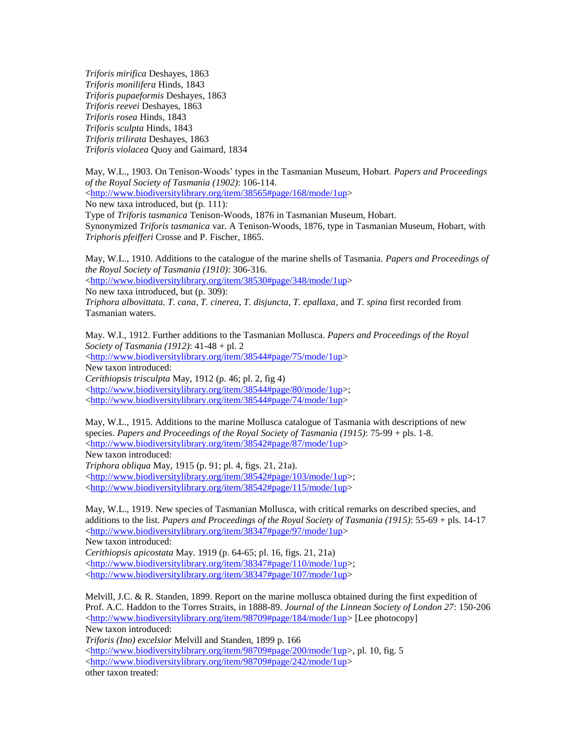*Triforis mirifica* Deshayes, 1863 *Triforis monilifera* Hinds, 1843 *Triforis pupaeformis* Deshayes, 1863 *Triforis reevei* Deshayes, 1863 *Triforis rosea* Hinds, 1843 *Triforis sculpta* Hinds, 1843 *Triforis trilirata* Deshayes, 1863 *Triforis violacea* Quoy and Gaimard, 1834

May, W.L., 1903. On Tenison-Woods' types in the Tasmanian Museum, Hobart. *Papers and Proceedings of the Royal Society of Tasmania (1902)*: 106-114. [<http://www.biodiversitylibrary.org/item/38565#page/168/mode/1up>](http://www.biodiversitylibrary.org/item/38565#page/168/mode/1up) No new taxa introduced, but (p. 111): Type of *Triforis tasmanica* Tenison-Woods, 1876 in Tasmanian Museum, Hobart. Synonymized *Triforis tasmanica* var. A Tenison-Woods, 1876, type in Tasmanian Museum, Hobart, with

*Triphoris pfeifferi* Crosse and P. Fischer, 1865.

May, W.L., 1910. Additions to the catalogue of the marine shells of Tasmania. *Papers and Proceedings of the Royal Society of Tasmania (1910)*: 306-316.

[<http://www.biodiversitylibrary.org/item/38530#page/348/mode/1up>](http://www.biodiversitylibrary.org/item/38530#page/348/mode/1up) No new taxa introduced, but (p. 309):

*Triphora albovittata. T. cana, T. cinerea, T. disjuncta, T. epallaxa*, and *T. spina* first recorded from Tasmanian waters.

May. W.I., 1912. Further additions to the Tasmanian Mollusca. *Papers and Proceedings of the Royal Society of Tasmania (1912)*: 41-48 + pl. 2 [<http://www.biodiversitylibrary.org/item/38544#page/75/mode/1up>](http://www.biodiversitylibrary.org/item/38544#page/75/mode/1up) New taxon introduced: *Cerithiopsis trisculpta* May, 1912 (p. 46; pl. 2, fig 4) [<http://www.biodiversitylibrary.org/item/38544#page/80/mode/1up>](http://www.biodiversitylibrary.org/item/38544#page/80/mode/1up); [<http://www.biodiversitylibrary.org/item/38544#page/74/mode/1up>](http://www.biodiversitylibrary.org/item/38544#page/74/mode/1up)

May, W.L., 1915. Additions to the marine Mollusca catalogue of Tasmania with descriptions of new species. *Papers and Proceedings of the Royal Society of Tasmania (1915)*: 75-99 + pls. 1-8. [<http://www.biodiversitylibrary.org/item/38542#page/87/mode/1up>](http://www.biodiversitylibrary.org/item/38542#page/87/mode/1up) New taxon introduced: *Triphora obliqua* May, 1915 (p. 91; pl. 4, figs. 21, 21a). [<http://www.biodiversitylibrary.org/item/38542#page/103/mode/1up>](http://www.biodiversitylibrary.org/item/38542#page/103/mode/1up);

[<http://www.biodiversitylibrary.org/item/38542#page/115/mode/1up>](http://www.biodiversitylibrary.org/item/38542#page/115/mode/1up)

May, W.L., 1919. New species of Tasmanian Mollusca, with critical remarks on described species, and additions to the list. *Papers and Proceedings of the Royal Society of Tasmania (1915)*: 55-69 + pls. 14-17 [<http://www.biodiversitylibrary.org/item/38347#page/97/mode/1up>](http://www.biodiversitylibrary.org/item/38347#page/97/mode/1up) New taxon introduced: *Cerithiopsis apicostata* May. 1919 (p. 64-65; pl. 16, figs. 21, 21a)

[<http://www.biodiversitylibrary.org/item/38347#page/110/mode/1up>](http://www.biodiversitylibrary.org/item/38347#page/110/mode/1up); [<http://www.biodiversitylibrary.org/item/38347#page/107/mode/1up>](http://www.biodiversitylibrary.org/item/38347#page/107/mode/1up)

Melvill, J.C. & R. Standen, 1899. Report on the marine mollusca obtained during the first expedition of Prof. A.C. Haddon to the Torres Straits, in 1888-89. *Journal of the Linnean Society of London 27*: 150-206 [<http://www.biodiversitylibrary.org/item/98709#page/184/mode/1up>](http://www.biodiversitylibrary.org/item/98709#page/184/mode/1up) [Lee photocopy] New taxon introduced:

*Triforis (Ino) excelsior* Melvill and Standen, 1899 p. 166 [<http://www.biodiversitylibrary.org/item/98709#page/200/mode/1up>](http://www.biodiversitylibrary.org/item/98709#page/200/mode/1up), pl. 10, fig. 5 [<http://www.biodiversitylibrary.org/item/98709#page/242/mode/1up>](http://www.biodiversitylibrary.org/item/98709#page/242/mode/1up) other taxon treated: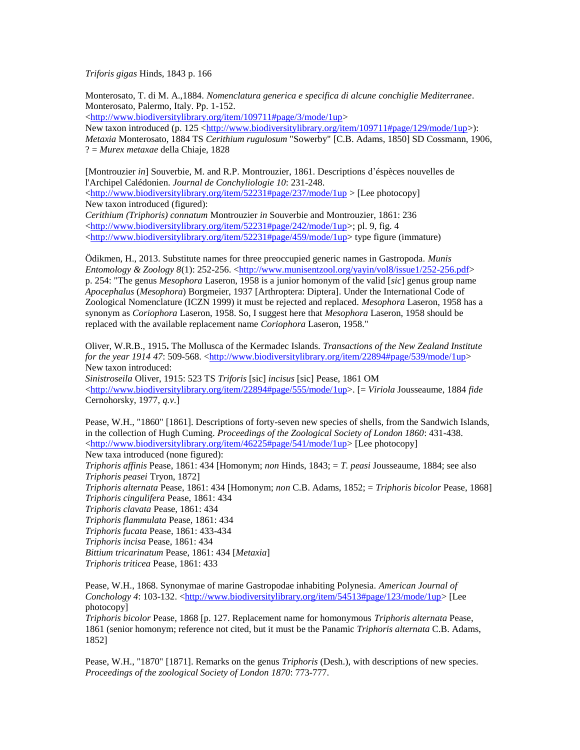*Triforis gigas* Hinds, 1843 p. 166

Monterosato, T. di M. A.,1884. *Nomenclatura generica e specifica di alcune conchiglie Mediterranee*. Monterosato, Palermo, Italy. Pp. 1-152.

[<http://www.biodiversitylibrary.org/item/109711#page/3/mode/1up>](http://www.biodiversitylibrary.org/item/109711#page/3/mode/1up)

New taxon introduced (p. 125 [<http://www.biodiversitylibrary.org/item/109711#page/129/mode/1up>](http://www.biodiversitylibrary.org/item/109711#page/129/mode/1up)): *Metaxia* Monterosato, 1884 TS *Cerithium rugulosum* "Sowerby" [C.B. Adams, 1850] SD Cossmann, 1906, ? = *Murex metaxae* della Chiaje, 1828

[Montrouzier *in*] Souverbie, M. and R.P. Montrouzier, 1861. Descriptions d'éspèces nouvelles de l'Archipel Calédonien. *Journal de Conchyliologie 10*: 231-248. [<http://www.biodiversitylibrary.org/item/52231#page/237/mode/1up](http://www.biodiversitylibrary.org/item/52231#page/237/mode/1up) > [Lee photocopy] New taxon introduced (figured): *Cerithium (Triphoris) connatum* Montrouzier *in* Souverbie and Montrouzier, 1861: 236

[<http://www.biodiversitylibrary.org/item/52231#page/242/mode/1up>](http://www.biodiversitylibrary.org/item/52231#page/242/mode/1up); pl. 9, fig. 4  $\langle$ http://www.biodiversitylibrary.org/item/52231#page/459/mode/1up> type figure (immature)

Ödikmen, H., 2013. Substitute names for three preoccupied generic names in Gastropoda. *Munis Entomology & Zoology 8*(1): 252-256. [<http://www.munisentzool.org/yayin/vol8/issue1/252-256.pdf>](http://www.munisentzool.org/yayin/vol8/issue1/252-256.pdf) p. 254: "The genus *Mesophora* Laseron, 1958 is a junior homonym of the valid [*sic*] genus group name *Apocephalus* (*Mesophora*) Borgmeier, 1937 [Arthroptera: Diptera]. Under the International Code of Zoological Nomenclature (ICZN 1999) it must be rejected and replaced. *Mesophora* Laseron, 1958 has a synonym as *Coriophora* Laseron, 1958. So, I suggest here that *Mesophora* Laseron, 1958 should be replaced with the available replacement name *Coriophora* Laseron, 1958."

Oliver, W.R.B., 1915**.** The Mollusca of the Kermadec Islands. *Transactions of the New Zealand Institute for the year 1914 47*: 509-568. [<http://www.biodiversitylibrary.org/item/22894#page/539/mode/1up>](http://www.biodiversitylibrary.org/item/22894#page/539/mode/1up) New taxon introduced:

*Sinistroseila* Oliver, 1915: 523 TS *Triforis* [sic] *incisus* [sic] Pease, 1861 OM  $\langle$ http://www.biodiversitylibrary.org/item/22894#page/555/mode/1up>. [= *Viriola* Jousseaume, 1884 *fide* Cernohorsky, 1977, *q.v*.]

Pease, W.H., "1860" [1861]. Descriptions of forty-seven new species of shells, from the Sandwich Islands, in the collection of Hugh Cuming. *Proceedings of the Zoological Society of London 1860*: 431-438. [<http://www.biodiversitylibrary.org/item/46225#page/541/mode/1up>](http://www.biodiversitylibrary.org/item/46225#page/541/mode/1up) [Lee photocopy] New taxa introduced (none figured): *Triphoris affinis* Pease, 1861: 434 [Homonym; *non* Hinds, 1843; = *T. peasi* Jousseaume, 1884; see also *Triphoris peasei* Tryon, 1872] *Triphoris alternata* Pease, 1861: 434 [Homonym; *non* C.B. Adams, 1852; = *Triphoris bicolor* Pease, 1868] *Triphoris cingulifera* Pease, 1861: 434 *Triphoris clavata* Pease, 1861: 434 *Triphoris flammulata* Pease, 1861: 434 *Triphoris fucata* Pease, 1861: 433-434 *Triphoris incisa* Pease, 1861: 434 *Bittium tricarinatum* Pease, 1861: 434 [*Metaxia*] *Triphoris triticea* Pease, 1861: 433

Pease, W.H., 1868. Synonymae of marine Gastropodae inhabiting Polynesia. *American Journal of*  Conchology 4: 103-132. [<http://www.biodiversitylibrary.org/item/54513#page/123/mode/1up>](http://www.biodiversitylibrary.org/item/54513#page/123/mode/1up) [Lee photocopy]

*Triphoris bicolor* Pease, 1868 [p. 127. Replacement name for homonymous *Triphoris alternata* Pease, 1861 (senior homonym; reference not cited, but it must be the Panamic *Triphoris alternata* C.B. Adams, 1852]

Pease, W.H., "1870" [1871]. Remarks on the genus *Triphoris* (Desh.), with descriptions of new species. *Proceedings of the zoological Society of London 1870*: 773-777.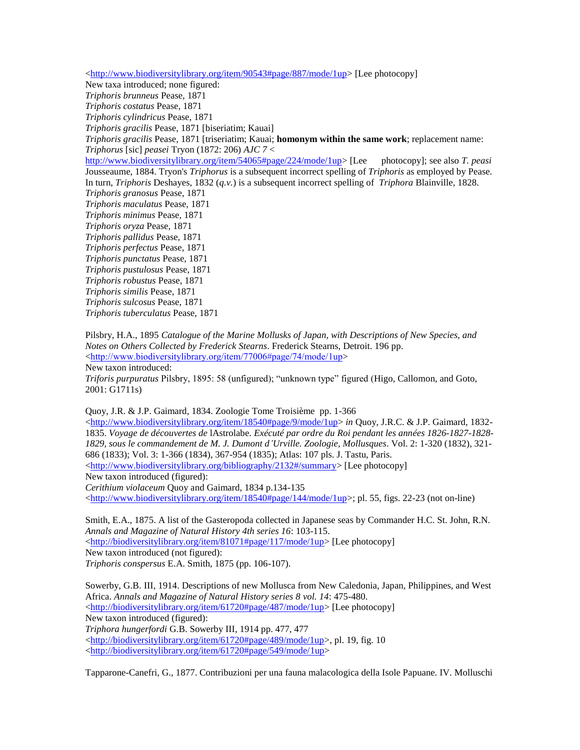[<http://www.biodiversitylibrary.org/item/90543#page/887/mode/1up>](http://www.biodiversitylibrary.org/item/90543#page/887/mode/1up) [Lee photocopy]

New taxa introduced; none figured:

*Triphoris brunneus* Pease, 1871 *Triphoris costatus* Pease, 1871

*Triphoris cylindricus* Pease, 1871

*Triphoris gracilis* Pease, 1871 [biseriatim; Kauai]

*Triphoris gracilis* Pease, 1871 [triseriatim; Kauai; **homonym within the same work**; replacement name: *Triphorus* [sic] *peasei* Tryon (1872: 206) *AJC 7* <

[http://www.biodiversitylibrary.org/item/54065#page/224/mode/1up>](http://www.biodiversitylibrary.org/item/54065#page/224/mode/1up) [Lee photocopy]; see also *T. peasi*  Jousseaume, 1884. Tryon's *Triphorus* is a subsequent incorrect spelling of *Triphoris* as employed by Pease. In turn, *Triphoris* Deshayes, 1832 (*q.v.*) is a subsequent incorrect spelling of *Triphora* Blainville, 1828. *Triphoris granosus* Pease, 1871

*Triphoris maculatus* Pease, 1871

*Triphoris minimus* Pease, 1871

*Triphoris oryza* Pease, 1871

*Triphoris pallidus* Pease, 1871

*Triphoris perfectus* Pease, 1871

*Triphoris punctatus* Pease, 1871

*Triphoris pustulosus* Pease, 1871

*Triphoris robustus* Pease, 1871

*Triphoris similis* Pease, 1871

*Triphoris sulcosus* Pease, 1871

*Triphoris tuberculatus* Pease, 1871

Pilsbry, H.A., 1895 *Catalogue of the Marine Mollusks of Japan, with Descriptions of New Species, and Notes on Others Collected by Frederick Stearns*. Frederick Stearns, Detroit. 196 pp. <<http://www.biodiversitylibrary.org/item/77006#page/74/mode/1up>>

New taxon introduced:

*Triforis purpuratus* Pilsbry, 1895: 58 (unfigured); "unknown type" figured (Higo, Callomon, and Goto, 2001: G1711s)

Quoy, J.R. & J.P. Gaimard, 1834. Zoologie Tome Troisième pp. 1-366

 $\langle$ http://www.biodiversitylibrary.org/item/18540#page/9/mode/1up> *in* Quoy, J.R.C. & J.P. Gaimard, 1832-1835. *Voyage de découvertes de* lAstrolabe. *Exécuté par ordre du Roi pendant les années 1826-1827-1828- 1829, sous le commandement de M. J. Dumont d'Urville. Zoologie, Mollusques*. Vol. 2: 1-320 (1832), 321- 686 (1833); Vol. 3: 1-366 (1834), 367-954 (1835); Atlas: 107 pls. J. Tastu, Paris. [<http://www.biodiversitylibrary.org/bibliography/2132#/summary>](http://www.biodiversitylibrary.org/bibliography/2132#/summary) [Lee photocopy] New taxon introduced (figured):

*Cerithium violaceum* Quoy and Gaimard, 1834 p.134-135

 $\langle$ http://www.biodiversitylibrary.org/item/18540#page/144/mode/1up>; pl. 55, figs. 22-23 (not on-line)

Smith, E.A., 1875. A list of the Gasteropoda collected in Japanese seas by Commander H.C. St. John, R.N. *Annals and Magazine of Natural History 4th series 16*: 103-115. [<http://biodiversitylibrary.org/item/81071#page/117/mode/1up>](http://biodiversitylibrary.org/item/81071#page/117/mode/1up) [Lee photocopy] New taxon introduced (not figured):

*Triphoris conspersus* E.A. Smith, 1875 (pp. 106-107).

Sowerby, G.B. III, 1914. Descriptions of new Mollusca from New Caledonia, Japan, Philippines, and West Africa. *Annals and Magazine of Natural History series 8 vol. 14*: 475-480. [<http://biodiversitylibrary.org/item/61720#page/487/mode/1up>](http://biodiversitylibrary.org/item/61720#page/487/mode/1up) [Lee photocopy] New taxon introduced (figured): *Triphora hungerfordi* G.B. Sowerby III, 1914 pp. 477, 477 [<http://biodiversitylibrary.org/item/61720#page/489/mode/1up>](http://biodiversitylibrary.org/item/61720#page/489/mode/1up), pl. 19, fig. 10 [<http://biodiversitylibrary.org/item/61720#page/549/mode/1up>](http://biodiversitylibrary.org/item/61720#page/549/mode/1up)

Tapparone-Canefri, G., 1877. Contribuzioni per una fauna malacologica della Isole Papuane. IV. Molluschi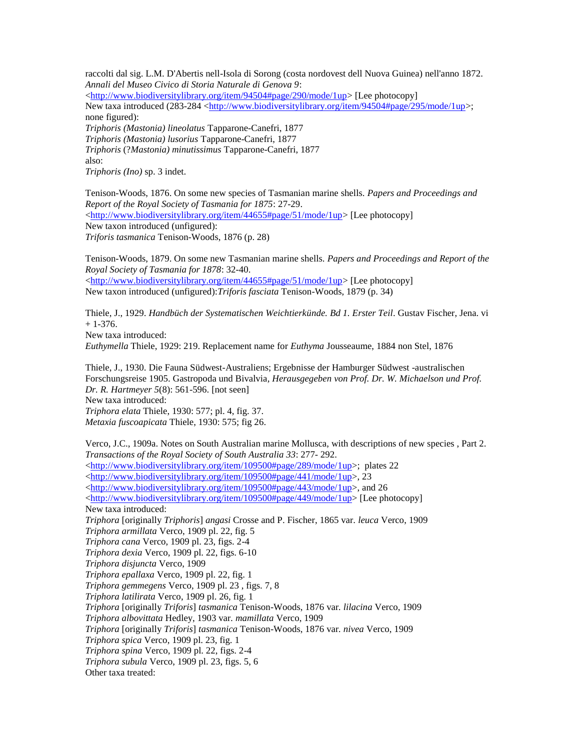raccolti dal sig. L.M. D'Abertis nell-Isola di Sorong (costa nordovest dell Nuova Guinea) nell'anno 1872. *Annali del Museo Civico di Storia Naturale di Genova 9*: [<http://www.biodiversitylibrary.org/item/94504#page/290/mode/1up>](http://www.biodiversitylibrary.org/item/94504#page/290/mode/1up) [Lee photocopy] New taxa introduced (283-284 [<http://www.biodiversitylibrary.org/item/94504#page/295/mode/1up>](http://www.biodiversitylibrary.org/item/94504#page/295/mode/1up); none figured): *Triphoris (Mastonia) lineolatus* Tapparone-Canefri, 1877 *Triphoris (Mastonia) lusorius* Tapparone-Canefri, 1877 *Triphoris* (?*Mastonia) minutissimus* Tapparone-Canefri, 1877 also:

*Triphoris (Ino)* sp. 3 indet.

Tenison-Woods, 1876. On some new species of Tasmanian marine shells. *Papers and Proceedings and Report of the Royal Society of Tasmania for 1875*: 27-29. [<http://www.biodiversitylibrary.org/item/44655#page/51/mode/1up>](http://www.biodiversitylibrary.org/item/44655#page/51/mode/1up) [Lee photocopy] New taxon introduced (unfigured): *Triforis tasmanica* Tenison-Woods, 1876 (p. 28)

Tenison-Woods, 1879. On some new Tasmanian marine shells. *Papers and Proceedings and Report of the Royal Society of Tasmania for 1878*: 32-40. [<http://www.biodiversitylibrary.org/item/44655#page/51/mode/1up>](http://www.biodiversitylibrary.org/item/44655#page/51/mode/1up) [Lee photocopy] New taxon introduced (unfigured):*Triforis fasciata* Tenison-Woods, 1879 (p. 34)

Thiele, J., 1929. *Handbüch der Systematischen Weichtierkünde. Bd 1. Erster Teil*. Gustav Fischer, Jena. vi  $+ 1 - 376.$ New taxa introduced:

*Euthymella* Thiele, 1929: 219. Replacement name for *Euthyma* Jousseaume, 1884 non Stel, 1876

Thiele, J., 1930. Die Fauna Südwest-Australiens; Ergebnisse der Hamburger Südwest -australischen Forschungsreise 1905. Gastropoda und Bivalvia*, Herausgegeben von Prof. Dr. W. Michaelson und Prof. Dr. R. Hartmeyer 5*(8): 561-596. [not seen] New taxa introduced: *Triphora elata* Thiele, 1930: 577; pl. 4, fig. 37. *Metaxia fuscoapicata* Thiele, 1930: 575; fig 26.

Verco, J.C., 1909a. Notes on South Australian marine Mollusca, with descriptions of new species , Part 2. *Transactions of the Royal Society of South Australia 33*: 277- 292. [<http://www.biodiversitylibrary.org/item/109500#page/289/mode/1up>](http://www.biodiversitylibrary.org/item/109500#page/289/mode/1up); plates 22 [<http://www.biodiversitylibrary.org/item/109500#page/441/mode/1up>](http://www.biodiversitylibrary.org/item/109500#page/441/mode/1up), 23 [<http://www.biodiversitylibrary.org/item/109500#page/443/mode/1up>](http://www.biodiversitylibrary.org/item/109500#page/443/mode/1up), and 26  $\langle$ http://www.biodiversitylibrary.org/item/109500#page/449/mode/1up> [Lee photocopy] New taxa introduced: *Triphora* [originally *Triphoris*] *angasi* Crosse and P. Fischer, 1865 var. *leuca* Verco, 1909 *Triphora armillata* Verco, 1909 pl. 22, fig. 5 *Triphora cana* Verco, 1909 pl. 23, figs. 2-4 *Triphora dexia* Verco, 1909 pl. 22, figs. 6-10 *Triphora disjuncta* Verco, 1909 *Triphora epallaxa* Verco, 1909 pl. 22, fig. 1 *Triphora gemmegens* Verco, 1909 pl. 23 , figs. 7, 8 *Triphora latilirata* Verco, 1909 pl. 26, fig. 1 *Triphora* [originally *Triforis*] *tasmanica* Tenison-Woods, 1876 var*. lilacina* Verco, 1909 *Triphora albovittata* Hedley, 1903 var*. mamillata* Verco, 1909 *Triphora* [originally *Triforis*] *tasmanica* Tenison-Woods, 1876 var*. nivea* Verco, 1909 *Triphora spica* Verco, 1909 pl. 23, fig. 1 *Triphora spina* Verco, 1909 pl. 22, figs. 2-4 *Triphora subula* Verco, 1909 pl. 23, figs. 5, 6 Other taxa treated: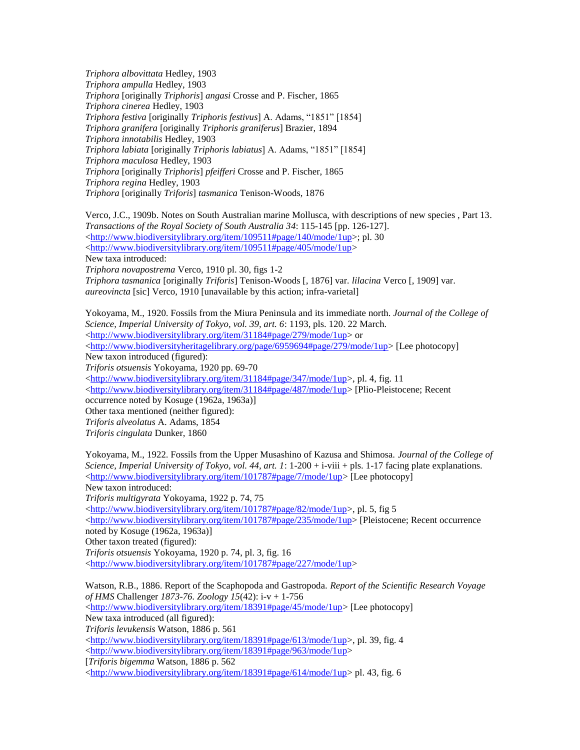*Triphora albovittata* Hedley, 1903 *Triphora ampulla* Hedley, 1903 *Triphora* [originally *Triphoris*] *angasi* Crosse and P. Fischer, 1865 *Triphora cinerea* Hedley, 1903 *Triphora festiva* [originally *Triphoris festivus*] A. Adams, "1851" [1854] *Triphora granifera* [originally *Triphoris graniferus*] Brazier, 1894 *Triphora innotabilis* Hedley, 1903 *Triphora labiata* [originally *Triphoris labiatus*] A. Adams, "1851" [1854] *Triphora maculosa* Hedley, 1903 *Triphora* [originally *Triphoris*] *pfeifferi* Crosse and P. Fischer, 1865 *Triphora regina* Hedley, 1903 *Triphora* [originally *Triforis*] *tasmanica* Tenison-Woods, 1876

Verco, J.C., 1909b. Notes on South Australian marine Mollusca, with descriptions of new species , Part 13. *Transactions of the Royal Society of South Australia 34*: 115-145 [pp. 126-127]. [<http://www.biodiversitylibrary.org/item/109511#page/140/mode/1up>](http://www.biodiversitylibrary.org/item/109511#page/140/mode/1up); pl. 30 [<http://www.biodiversitylibrary.org/item/109511#page/405/mode/1up>](http://www.biodiversitylibrary.org/item/109511#page/405/mode/1up) New taxa introduced: *Triphora novapostrema* Verco, 1910 pl. 30, figs 1-2 *Triphora tasmanica* [originally *Triforis*] Tenison-Woods [, 1876] var*. lilacina* Verco [, 1909] var. *aureovincta* [sic] Verco, 1910 [unavailable by this action; infra-varietal]

Yokoyama, M., 1920. Fossils from the Miura Peninsula and its immediate north. *Journal of the College of Science, Imperial University of Tokyo, vol. 39, art. 6*: 1193, pls. 120. 22 March. [<http://www.biodiversitylibrary.org/item/31184#page/279/mode/1up>](http://www.biodiversitylibrary.org/item/31184#page/279/mode/1up) or  $\langle$ http://www.biodiversityheritagelibrary.org/page/6959694#page/279/mode/1up> [Lee photocopy] New taxon introduced (figured): *Triforis otsuensis* Yokoyama, 1920 pp. 69-70 [<http://www.biodiversitylibrary.org/item/31184#page/347/mode/1up>](http://www.biodiversitylibrary.org/item/31184#page/347/mode/1up), pl. 4, fig. 11 [<http://www.biodiversitylibrary.org/item/31184#page/487/mode/1up>](http://www.biodiversitylibrary.org/item/31184#page/487/mode/1up) [Plio-Pleistocene; Recent occurrence noted by Kosuge (1962a, 1963a)] Other taxa mentioned (neither figured): *Triforis alveolatus* A. Adams, 1854 *Triforis cingulata* Dunker, 1860

Yokoyama, M., 1922. Fossils from the Upper Musashino of Kazusa and Shimosa. *Journal of the College of Science, Imperial University of Tokyo, vol. 44, art. 1*: 1-200 + i-viii + pls. 1-17 facing plate explanations. [<http://www.biodiversitylibrary.org/item/101787#page/7/mode/1up>](http://www.biodiversitylibrary.org/item/101787#page/7/mode/1up) [Lee photocopy] New taxon introduced: *Triforis multigyrata* Yokoyama, 1922 p. 74, 75  $\langle \frac{http://www.biodiversitylibrary.org/item/101787#page/82/mode/1up>}{http://www.biodiversitylibrary.org/item/101787#page/82/mode/1up>}, pl. 5, fig 5$  $\langle$ http://www.biodiversitylibrary.org/item/101787#page/235/mode/1up> [Pleistocene; Recent occurrence noted by Kosuge (1962a, 1963a)] Other taxon treated (figured): *Triforis otsuensis* Yokoyama, 1920 p. 74, pl. 3, fig. 16 [<http://www.biodiversitylibrary.org/item/101787#page/227/mode/1up>](http://www.biodiversitylibrary.org/item/101787#page/227/mode/1up) Watson, R.B., 1886. Report of the Scaphopoda and Gastropoda. *Report of the Scientific Research Voyage of HMS* Challenger *1873-76. Zoology 15*(42): i-v + 1-756 [<http://www.biodiversitylibrary.org/item/18391#page/45/mode/1up>](http://www.biodiversitylibrary.org/item/18391#page/45/mode/1up) [Lee photocopy] New taxa introduced (all figured): *Triforis levukensis* Watson, 1886 p. 561 [<http://www.biodiversitylibrary.org/item/18391#page/613/mode/1up>](http://www.biodiversitylibrary.org/item/18391#page/613/mode/1up), pl. 39, fig. 4 [<http://www.biodiversitylibrary.org/item/18391#page/963/mode/1up>](http://www.biodiversitylibrary.org/item/18391#page/963/mode/1up) [*Triforis bigemma* Watson, 1886 p. 562 [<http://www.biodiversitylibrary.org/item/18391#page/614/mode/1up>](http://www.biodiversitylibrary.org/item/18391#page/614/mode/1up) pl. 43, fig. 6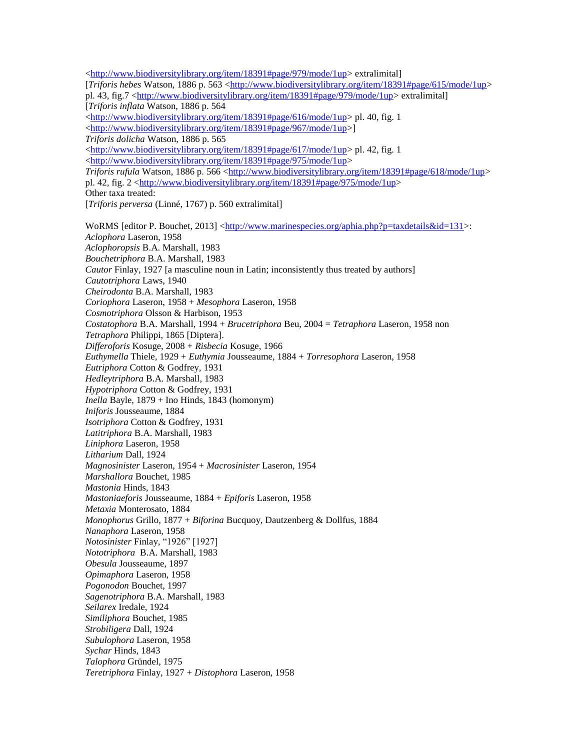[<http://www.biodiversitylibrary.org/item/18391#page/979/mode/1up>](http://www.biodiversitylibrary.org/item/18391#page/979/mode/1up) extralimital] [*Triforis hebes* Watson, 1886 p. 563 [<http://www.biodiversitylibrary.org/item/18391#page/615/mode/1up>](http://www.biodiversitylibrary.org/item/18391#page/615/mode/1up) pl. 43, fig.7 [<http://www.biodiversitylibrary.org/item/18391#page/979/mode/1up>](http://www.biodiversitylibrary.org/item/18391#page/979/mode/1up) extralimital] [*Triforis inflata* Watson, 1886 p. 564 [<http://www.biodiversitylibrary.org/item/18391#page/616/mode/1up>](http://www.biodiversitylibrary.org/item/18391#page/616/mode/1up) pl. 40, fig. 1 [<http://www.biodiversitylibrary.org/item/18391#page/967/mode/1up>](http://www.biodiversitylibrary.org/item/18391#page/967/mode/1up)] *Triforis dolicha* Watson, 1886 p. 565 [<http://www.biodiversitylibrary.org/item/18391#page/617/mode/1up>](http://www.biodiversitylibrary.org/item/18391#page/617/mode/1up) pl. 42, fig. 1 [<http://www.biodiversitylibrary.org/item/18391#page/975/mode/1up>](http://www.biodiversitylibrary.org/item/18391#page/975/mode/1up) *Triforis rufula* Watson, 1886 p. 566 [<http://www.biodiversitylibrary.org/item/18391#page/618/mode/1up>](http://www.biodiversitylibrary.org/item/18391#page/618/mode/1up) pl. 42, fig. 2  $\frac{\text{http://www.biodiversitylibrary.org/item/18391#page/975/mode/1up>}}{$ Other taxa treated: [*Triforis perversa* (Linné, 1767) p. 560 extralimital] WoRMS [editor P. Bouchet, 2013] [<http://www.marinespecies.org/aphia.php?p=taxdetails&id=131>](http://www.marinespecies.org/aphia.php?p=taxdetails&id=131): *Aclophora* Laseron, 1958 *Aclophoropsis* B.A. Marshall, 1983 *Bouchetriphora* B.A. Marshall, 1983 *Cautor* Finlay, 1927 [a masculine noun in Latin; inconsistently thus treated by authors] *Cautotriphora* Laws, 1940 *Cheirodonta* B.A. Marshall, 1983 *Coriophora* Laseron, 1958 + *Mesophora* Laseron, 1958 *Cosmotriphora* Olsson & Harbison, 1953 *Costatophora* B.A. Marshall, 1994 + *Brucetriphora* Beu, 2004 = *Tetraphora* Laseron, 1958 non *Tetraphora* Philippi, 1865 [Diptera]. *Differoforis* Kosuge, 2008 + *Risbecia* Kosuge, 1966 *Euthymella* Thiele, 1929 + *Euthymia* Jousseaume, 1884 + *Torresophora* Laseron, 1958 *Eutriphora* Cotton & Godfrey, 1931 *Hedleytriphora* B.A. Marshall, 1983 *Hypotriphora* Cotton & Godfrey, 1931 *Inella* Bayle, 1879 + Ino Hinds, 1843 (homonym) *Iniforis* Jousseaume, 1884 *Isotriphora* Cotton & Godfrey, 1931 *Latitriphora* B.A. Marshall, 1983 *Liniphora* Laseron, 1958 *Litharium* Dall, 1924 *Magnosinister* Laseron, 1954 + *Macrosinister* Laseron, 1954 *Marshallora* Bouchet, 1985 *Mastonia* Hinds, 1843 *Mastoniaeforis* Jousseaume, 1884 + *Epiforis* Laseron, 1958 *Metaxia* Monterosato, 1884 *Monophorus* Grillo, 1877 + *Biforina* Bucquoy, Dautzenberg & Dollfus, 1884 *Nanaphora* Laseron, 1958 *Notosinister* Finlay, "1926" [1927] *Nototriphora* B.A. Marshall, 1983 *Obesula* Jousseaume, 1897 *Opimaphora* Laseron, 1958 *Pogonodon* Bouchet, 1997 *Sagenotriphora* B.A. Marshall, 1983 *Seilarex* Iredale, 1924 *Similiphora* Bouchet, 1985 *Strobiligera* Dall, 1924 *Subulophora* Laseron, 1958 *Sychar* Hinds, 1843 *Talophora* Gründel, 1975 *Teretriphora* Finlay, 1927 + *Distophora* Laseron, 1958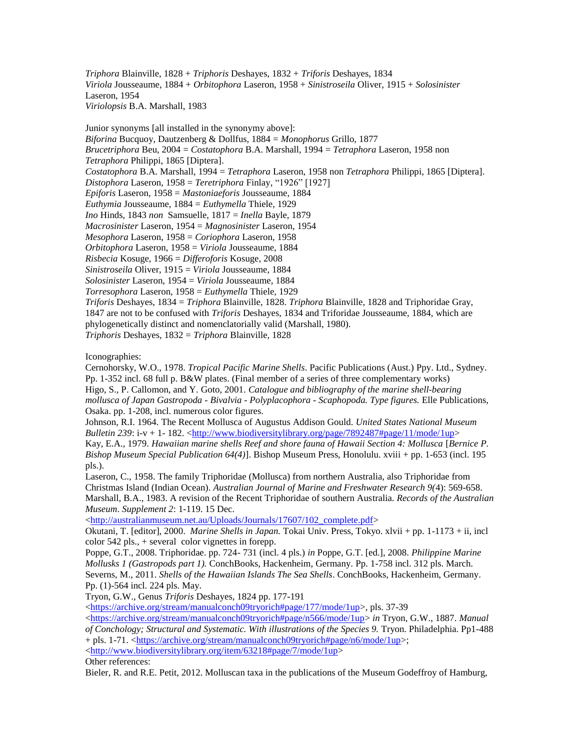*Triphora* Blainville, 1828 + *Triphoris* Deshayes, 1832 + *Triforis* Deshayes, 1834 *Viriola* Jousseaume, 1884 + *Orbitophora* Laseron, 1958 + *Sinistroseila* Oliver, 1915 + *Solosinister*  Laseron, 1954 *Viriolopsis* B.A. Marshall, 1983

Junior synonyms [all installed in the synonymy above]: *Biforina* Bucquoy, Dautzenberg & Dollfus, 1884 = *Monophorus* Grillo, 1877 *Brucetriphora* Beu, 2004 = *Costatophora* B.A. Marshall, 1994 = *Tetraphora* Laseron, 1958 non *Tetraphora* Philippi, 1865 [Diptera]. *Costatophora* B.A. Marshall, 1994 = *Tetraphora* Laseron, 1958 non *Tetraphora* Philippi, 1865 [Diptera]. *Distophora* Laseron, 1958 = *Teretriphora* Finlay, "1926" [1927] *Epiforis* Laseron, 1958 = *Mastoniaeforis* Jousseaume, 1884 *Euthymia* Jousseaume, 1884 = *Euthymella* Thiele, 1929 *Ino* Hinds, 1843 *non* Samsuelle, 1817 = *Inella* Bayle, 1879 *Macrosinister* Laseron, 1954 = *Magnosinister* Laseron, 1954 *Mesophora* Laseron, 1958 = *Coriophora* Laseron, 1958 *Orbitophora* Laseron, 1958 = *Viriola* Jousseaume, 1884 *Risbecia* Kosuge, 1966 = *Differoforis* Kosuge, 2008 *Sinistroseila* Oliver, 1915 = *Viriola* Jousseaume, 1884 *Solosinister* Laseron, 1954 = *Viriola* Jousseaume, 1884 *Torresophora* Laseron, 1958 = *Euthymella* Thiele, 1929 *Triforis* Deshayes, 1834 = *Triphora* Blainville, 1828. *Triphora* Blainville, 1828 and Triphoridae Gray, 1847 are not to be confused with *Triforis* Deshayes, 1834 and Triforidae Jousseaume, 1884, which are phylogenetically distinct and nomenclatorially valid (Marshall, 1980).

*Triphoris* Deshayes, 1832 = *Triphora* Blainville, 1828

Iconographies:

Cernohorsky, W.O., 1978. *Tropical Pacific Marine Shells*. Pacific Publications (Aust.) Ppy. Ltd., Sydney. Pp. 1-352 incl. 68 full p. B&W plates. (Final member of a series of three complementary works) Higo, S., P. Callomon, and Y. Goto, 2001. *Catalogue and bibliography of the marine shell-bearing mollusca of Japan Gastropoda - Bivalvia - Polyplacophora - Scaphopoda. Type figures.* Elle Publications, Osaka. pp. 1-208, incl. numerous color figures.

Johnson, R.I. 1964. The Recent Mollusca of Augustus Addison Gould. *United States National Museum Bulletin 239*: i-v + 1- 182. [<http://www.biodiversitylibrary.org/page/7892487#page/11/mode/1up>](http://www.biodiversitylibrary.org/page/7892487#page/11/mode/1up)

Kay, E.A., 1979. *Hawaiian marine shells Reef and shore fauna of Hawaii Section 4: Mollusca* [*Bernice P. Bishop Museum Special Publication 64(4)*]. Bishop Museum Press, Honolulu. xviii + pp. 1-653 (incl. 195 pls.).

Laseron, C., 1958. The family Triphoridae (Mollusca) from northern Australia, also Triphoridae from Christmas Island (Indian Ocean). *Australian Journal of Marine and Freshwater Research 9(*4): 569-658. Marshall, B.A., 1983. A revision of the Recent Triphoridae of southern Australia. *Records of the Australian Museum*. *Supplement 2*: 1-119. 15 Dec.

[<http://australianmuseum.net.au/Uploads/Journals/17607/102\\_complete.pdf>](http://australianmuseum.net.au/Uploads/Journals/17607/102_complete.pdf)

Okutani, T. [editor], 2000. *Marine Shells in Japan.* Tokai Univ. Press, Tokyo. xlvii + pp. 1-1173 + ii, incl color 542 pls., + several color vignettes in forepp.

Poppe, G.T., 2008. Triphoridae. pp. 724- 731 (incl. 4 pls.) *in* Poppe, G.T. [ed.], 2008. *Philippine Marine Mollusks 1 (Gastropods part 1).* ConchBooks, Hackenheim, Germany. Pp. 1-758 incl. 312 pls. March. Severns, M., 2011. *Shells of the Hawaiian Islands The Sea Shells*. ConchBooks, Hackenheim, Germany. Pp. (1)-564 incl. 224 pls. May.

Tryon, G.W., Genus *Triforis* Deshayes, 1824 pp. 177-191

[<https://archive.org/stream/manualconch09tryorich#page/177/mode/1up>](https://archive.org/stream/manualconch09tryorich#page/177/mode/1up), pls. 37-39

 $\langle$ https://archive.org/stream/manualconch09tryorich#page/n566/mode/1up> *in* Tryon, G.W., 1887. *Manual of Conchology; Structural and Systematic. With illustrations of the Species 9.* Tryon. Philadelphia. Pp1-488 + pls. 1-71. [<https://archive.org/stream/manualconch09tryorich#page/n6/mode/1up>](https://archive.org/stream/manualconch09tryorich#page/n6/mode/1up); [<http://www.biodiversitylibrary.org/item/63218#page/7/mode/1up>](http://www.biodiversitylibrary.org/item/63218#page/7/mode/1up)

Other references:

Bieler, R. and R.E. Petit, 2012. Molluscan taxa in the publications of the Museum Godeffroy of Hamburg,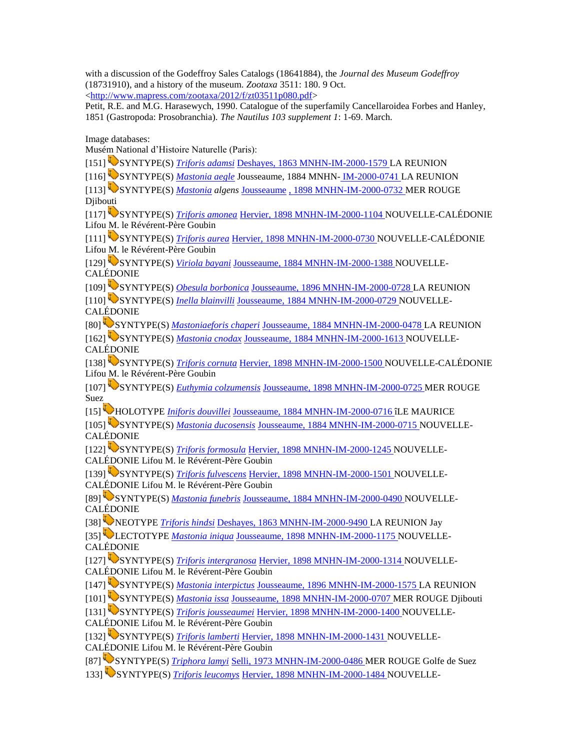with a discussion of the Godeffroy Sales Catalogs (18641884), the *Journal des Museum Godeffroy*  (18731910), and a history of the museum. *Zootaxa* 3511: 180. 9 Oct.  $\langle \text{http://www.mapress.com/zootaxa/2012/f/zt03511p080.pdf} \rangle$ 

Petit, R.E. and M.G. Harasewych, 1990. Catalogue of the superfamily Cancellaroidea Forbes and Hanley, 1851 (Gastropoda: Prosobranchia). *The Nautilus 103 supplement 1*: 1-69. March.

Image databases:

Musém National d'Histoire Naturelle (Paris):

[151] SYNTYPE(S) *[Triforis adamsi](http://science.mnhn.fr/institution/mnhn/collection/im/item/2000-1579)* [Deshayes, 1863 MNHN-IM-2000-1579 L](http://science.mnhn.fr/institution/mnhn/collection/im/item/2000-1579)A REUNION

[116] SYNTYPE(S) *[Mastonia aegle](http://science.mnhn.fr/institution/mnhn/collection/im/item/2000-0741)* Jousseaume, 1884 MNHN- [IM-2000-0741 L](http://science.mnhn.fr/institution/mnhn/collection/im/item/2000-0741)A REUNION

[113] SYNTYPE(S) *[Mastonia](http://science.mnhn.fr/institution/mnhn/collection/im/item/2000-0732) algens* [Jousseaume](http://science.mnhn.fr/institution/mnhn/collection/im/item/2000-0732) [, 1898 MNHN-IM-2000-0732 M](http://science.mnhn.fr/institution/mnhn/collection/im/item/2000-0732)ER ROUGE **D**iibouti

[117] SYNTYPE(S) *[Triforis amonea](http://science.mnhn.fr/institution/mnhn/collection/im/item/2000-1104)* [Hervier, 1898 MNHN-IM-2000-1104 N](http://science.mnhn.fr/institution/mnhn/collection/im/item/2000-1104)OUVELLE-CALÉDONIE Lifou M. le Révérent-Père Goubin

[111] SYNTYPE(S) *[Triforis aurea](http://science.mnhn.fr/institution/mnhn/collection/im/item/2000-0730)* [Hervier, 1898 MNHN-IM-2000-0730 N](http://science.mnhn.fr/institution/mnhn/collection/im/item/2000-0730)OUVELLE-CALÉDONIE Lifou M. le Révérent-Père Goubin

[129] SYNTYPE(S) *[Viriola bayani](http://science.mnhn.fr/institution/mnhn/collection/im/item/2000-1388)* [Jousseaume, 1884 MNHN-IM-2000-1388 N](http://science.mnhn.fr/institution/mnhn/collection/im/item/2000-1388)OUVELLE-CALÉDONIE

[109] SYNTYPE(S) *[Obesula borbonica](http://science.mnhn.fr/institution/mnhn/collection/im/item/2000-0728)* [Jousseaume, 1896 MNHN-IM-2000-0728 L](http://science.mnhn.fr/institution/mnhn/collection/im/item/2000-0728)A REUNION

[110] SYNTYPE(S) *[Inella blainvilli](http://science.mnhn.fr/institution/mnhn/collection/im/item/2000-0729)* [Jousseaume, 1884 MNHN-IM-2000-0729 N](http://science.mnhn.fr/institution/mnhn/collection/im/item/2000-0729)OUVELLE-CALÉDONIE

[80] SYNTYPE(S) *[Mastoniaeforis chaperi](http://science.mnhn.fr/institution/mnhn/collection/im/item/2000-0478)* [Jousseaume, 1884 MNHN-IM-2000-0478 L](http://science.mnhn.fr/institution/mnhn/collection/im/item/2000-0478)A REUNION

[162] SYNTYPE(S) *[Mastonia cnodax](http://science.mnhn.fr/institution/mnhn/collection/im/item/2000-1613)* [Jousseaume, 1884 MNHN-IM-2000-1613 N](http://science.mnhn.fr/institution/mnhn/collection/im/item/2000-1613)OUVELLE-CALÉDONIE

[138] SYNTYPE(S) *[Triforis cornuta](http://science.mnhn.fr/institution/mnhn/collection/im/item/2000-1500)* [Hervier, 1898 MNHN-IM-2000-1500 N](http://science.mnhn.fr/institution/mnhn/collection/im/item/2000-1500)OUVELLE-CALÉDONIE Lifou M. le Révérent-Père Goubin

[107] SYNTYPE(S) *[Euthymia colzumensis](http://science.mnhn.fr/institution/mnhn/collection/im/item/2000-0725)* [Jousseaume, 1898 MNHN-IM-2000-0725 M](http://science.mnhn.fr/institution/mnhn/collection/im/item/2000-0725)ER ROUGE Suez

[15] HOLOTYPE *[Iniforis douvillei](http://science.mnhn.fr/institution/mnhn/collection/im/item/2000-0716)* [Jousseaume, 1884 MNHN-IM-2000-0716 î](http://science.mnhn.fr/institution/mnhn/collection/im/item/2000-0716)LE MAURICE

[105] SYNTYPE(S) *[Mastonia ducosensis](http://science.mnhn.fr/institution/mnhn/collection/im/item/2000-0715)* [Jousseaume, 1884 MNHN-IM-2000-0715 N](http://science.mnhn.fr/institution/mnhn/collection/im/item/2000-0715)OUVELLE-CALÉDONIE

[122] SYNTYPE(S) *[Triforis formosula](http://science.mnhn.fr/institution/mnhn/collection/im/item/2000-1245)* [Hervier, 1898 MNHN-IM-2000-1245 N](http://science.mnhn.fr/institution/mnhn/collection/im/item/2000-1245)OUVELLE-CALÉDONIE Lifou M. le Révérent-Père Goubin

[139] SYNTYPE(S) *[Triforis fulvescens](http://science.mnhn.fr/institution/mnhn/collection/im/item/2000-1501)* [Hervier, 1898 MNHN-IM-2000-1501 N](http://science.mnhn.fr/institution/mnhn/collection/im/item/2000-1501)OUVELLE-CALÉDONIE Lifou M. le Révérent-Père Goubin

[89] SYNTYPE(S) *[Mastonia](http://science.mnhn.fr/institution/mnhn/collection/im/item/2000-0490) funebris* [Jousseaume, 1884 MNHN-IM-2000-0490 N](http://science.mnhn.fr/institution/mnhn/collection/im/item/2000-0490)OUVELLE-CALÉDONIE

[38] NEOTYPE *[Triforis hindsi](http://science.mnhn.fr/institution/mnhn/collection/im/item/2000-9490)* [Deshayes, 1863 MNHN-IM-2000-9490 L](http://science.mnhn.fr/institution/mnhn/collection/im/item/2000-9490)A REUNION Jay

[35] LECTOTYPE *[Mastonia iniqua](http://science.mnhn.fr/institution/mnhn/collection/im/item/2000-1175)* [Jousseaume, 1898 MNHN-IM-2000-1175 N](http://science.mnhn.fr/institution/mnhn/collection/im/item/2000-1175)OUVELLE-CALÉDONIE

[127] SYNTYPE(S) *[Triforis intergranosa](http://science.mnhn.fr/institution/mnhn/collection/im/item/2000-1314)* [Hervier, 1898 MNHN-IM-2000-1314 N](http://science.mnhn.fr/institution/mnhn/collection/im/item/2000-1314)OUVELLE-CALÉDONIE Lifou M. le Révérent-Père Goubin

[147] SYNTYPE(S) *[Mastonia interpictus](http://science.mnhn.fr/institution/mnhn/collection/im/item/2000-1575)* [Jousseaume, 1896 MNHN-IM-2000-1575 L](http://science.mnhn.fr/institution/mnhn/collection/im/item/2000-1575)A REUNION

[101] SYNTYPE(S) *[Mastonia issa](http://science.mnhn.fr/institution/mnhn/collection/im/item/2000-0707)* [Jousseaume, 1898 MNHN-IM-2000-0707 M](http://science.mnhn.fr/institution/mnhn/collection/im/item/2000-0707)ER ROUGE Djibouti

[131] SYNTYPE(S) *[Triforis jousseaumei](http://science.mnhn.fr/institution/mnhn/collection/im/item/2000-1400)* [Hervier, 1898 MNHN-IM-2000-1400 N](http://science.mnhn.fr/institution/mnhn/collection/im/item/2000-1400)OUVELLE-CALÉDONIE Lifou M. le Révérent-Père Goubin

[132] SYNTYPE(S) *[Triforis lamberti](http://science.mnhn.fr/institution/mnhn/collection/im/item/2000-1431)* [Hervier, 1898 MNHN-IM-2000-1431 N](http://science.mnhn.fr/institution/mnhn/collection/im/item/2000-1431)OUVELLE-CALÉDONIE Lifou M. le Révérent-Père Goubin

[87] SYNTYPE(S) *[Triphora lamyi](http://science.mnhn.fr/institution/mnhn/collection/im/item/2000-0486)* [Selli, 1973 MNHN-IM-2000-0486 M](http://science.mnhn.fr/institution/mnhn/collection/im/item/2000-0486)ER ROUGE Golfe de Suez

133] SYNTYPE(S) *[Triforis leucomys](http://science.mnhn.fr/institution/mnhn/collection/im/item/2000-1484)* [Hervier, 1898 MNHN-IM-2000-1484 N](http://science.mnhn.fr/institution/mnhn/collection/im/item/2000-1484)OUVELLE-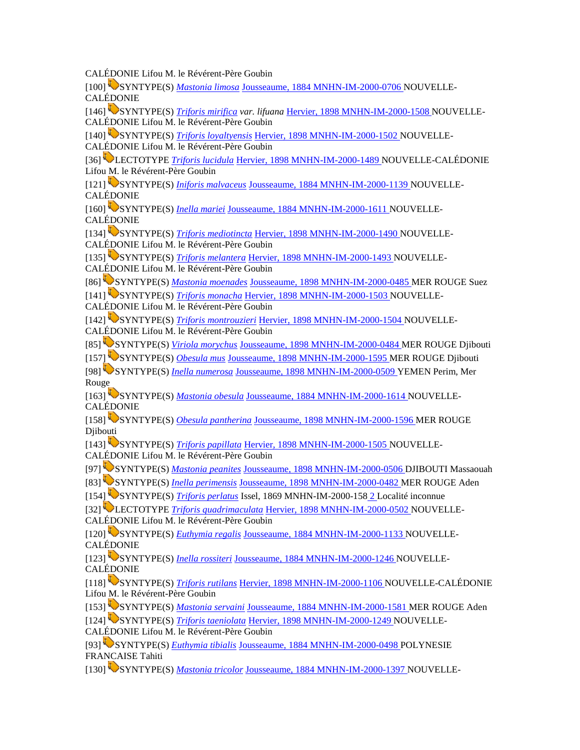CALÉDONIE Lifou M. le Révérent-Père Goubin

[100] SYNTYPE(S) *[Mastonia limosa](http://science.mnhn.fr/institution/mnhn/collection/im/item/2000-0706)* [Jousseaume, 1884 MNHN-IM-2000-0706 N](http://science.mnhn.fr/institution/mnhn/collection/im/item/2000-0706)OUVELLE-CALÉDONIE

[146] SYNTYPE(S) *[Triforis mirifica](http://science.mnhn.fr/institution/mnhn/collection/im/item/2000-1508) var. lifuana* [Hervier, 1898 MNHN-IM-2000-1508 N](http://science.mnhn.fr/institution/mnhn/collection/im/item/2000-1508)OUVELLE-CALÉDONIE Lifou M. le Révérent-Père Goubin

[140] SYNTYPE(S) *[Triforis loyaltyensis](http://science.mnhn.fr/institution/mnhn/collection/im/item/2000-1502)* [Hervier, 1898 MNHN-IM-2000-1502 N](http://science.mnhn.fr/institution/mnhn/collection/im/item/2000-1502)OUVELLE-CALÉDONIE Lifou M. le Révérent-Père Goubin

[36] LECTOTYPE *[Triforis lucidula](http://science.mnhn.fr/institution/mnhn/collection/im/item/2000-1489)* [Hervier, 1898 MNHN-IM-2000-1489 N](http://science.mnhn.fr/institution/mnhn/collection/im/item/2000-1489)OUVELLE-CALÉDONIE Lifou M. le Révérent-Père Goubin

[121] SYNTYPE(S) *Iniforis [malvaceus](http://science.mnhn.fr/institution/mnhn/collection/im/item/2000-1139)* [Jousseaume, 1884 MNHN-IM-2000-1139 N](http://science.mnhn.fr/institution/mnhn/collection/im/item/2000-1139)OUVELLE-CALÉDONIE

[160] SYNTYPE(S) *[Inella mariei](http://science.mnhn.fr/institution/mnhn/collection/im/item/2000-1611)* [Jousseaume, 1884 MNHN-IM-2000-1611 N](http://science.mnhn.fr/institution/mnhn/collection/im/item/2000-1611)OUVELLE-CALÉDONIE

[134] SYNTYPE(S) *[Triforis mediotincta](http://science.mnhn.fr/institution/mnhn/collection/im/item/2000-1490)* [Hervier, 1898 MNHN-IM-2000-1490 N](http://science.mnhn.fr/institution/mnhn/collection/im/item/2000-1490)OUVELLE-CALÉDONIE Lifou M. le Révérent-Père Goubin

[135] SYNTYPE(S) *[Triforis melantera](http://science.mnhn.fr/institution/mnhn/collection/im/item/2000-1493)* [Hervier, 1898 MNHN-IM-2000-1493 N](http://science.mnhn.fr/institution/mnhn/collection/im/item/2000-1493)OUVELLE-CALÉDONIE Lifou M. le Révérent-Père Goubin

[86] SYNTYPE(S) *[Mastonia moenades](http://science.mnhn.fr/institution/mnhn/collection/im/item/2000-0485)* [Jousseaume, 1898 MNHN-IM-2000-0485 M](http://science.mnhn.fr/institution/mnhn/collection/im/item/2000-0485)ER ROUGE Suez

[141] SYNTYPE(S) *[Triforis monacha](http://science.mnhn.fr/institution/mnhn/collection/im/item/2000-1503)* [Hervier, 1898 MNHN-IM-2000-1503](http://science.mnhn.fr/institution/mnhn/collection/im/item/2000-1503) NOUVELLE-CALÉDONIE Lifou M. le Révérent-Père Goubin

[142] SYNTYPE(S) *[Triforis montrouzieri](http://science.mnhn.fr/institution/mnhn/collection/im/item/2000-1504)* [Hervier, 1898 MNHN-IM-2000-1504 N](http://science.mnhn.fr/institution/mnhn/collection/im/item/2000-1504)OUVELLE-CALÉDONIE Lifou M. le Révérent-Père Goubin

[85] SYNTYPE(S) *[Viriola morychus](http://science.mnhn.fr/institution/mnhn/collection/im/item/2000-0484)* [Jousseaume, 1898 MNHN-IM-2000-0484 M](http://science.mnhn.fr/institution/mnhn/collection/im/item/2000-0484)ER ROUGE Djibouti

[157] SYNTYPE(S) *[Obesula mus](http://science.mnhn.fr/institution/mnhn/collection/im/item/2000-1595)* [Jousseaume, 1898 MNHN-IM-2000-1595 M](http://science.mnhn.fr/institution/mnhn/collection/im/item/2000-1595)ER ROUGE Djibouti

[98] SYNTYPE(S) *[Inella numerosa](http://science.mnhn.fr/institution/mnhn/collection/im/item/2000-0509)* [Jousseaume, 1898 MNHN-IM-2000-0509 Y](http://science.mnhn.fr/institution/mnhn/collection/im/item/2000-0509)EMEN Perim, Mer Rouge

[163] SYNTYPE(S) *[Mastonia obesula](http://science.mnhn.fr/institution/mnhn/collection/im/item/2000-1614)* [Jousseaume, 1884 MNHN-IM-2000-1614 N](http://science.mnhn.fr/institution/mnhn/collection/im/item/2000-1614)OUVELLE-CALÉDONIE

[158] SYNTYPE(S) *[Obesula pantherina](http://science.mnhn.fr/institution/mnhn/collection/im/item/2000-1596)* [Jousseaume, 1898 MNHN-IM-2000-1596 M](http://science.mnhn.fr/institution/mnhn/collection/im/item/2000-1596)ER ROUGE Djibouti

[143] SYNTYPE(S) *[Triforis papillata](http://science.mnhn.fr/institution/mnhn/collection/im/item/2000-1505)* [Hervier, 1898 MNHN-IM-2000-1505 N](http://science.mnhn.fr/institution/mnhn/collection/im/item/2000-1505)OUVELLE-CALÉDONIE Lifou M. le Révérent-Père Goubin

[97] SYNTYPE(S) *[Mastonia peanites](http://science.mnhn.fr/institution/mnhn/collection/im/item/2000-0506)* [Jousseaume, 1898 MNHN-IM-2000-0506 D](http://science.mnhn.fr/institution/mnhn/collection/im/item/2000-0506)JIBOUTI Massaouah [83] SYNTYPE(S) *[Inella perimensis](http://science.mnhn.fr/institution/mnhn/collection/im/item/2000-0482)* [Jousseaume, 1898 MNHN-IM-2000-0482 M](http://science.mnhn.fr/institution/mnhn/collection/im/item/2000-0482)ER ROUGE Aden

[154] SYNTYPE(S) *[Triforis perlatus](http://science.mnhn.fr/institution/mnhn/collection/im/item/2000-1582)* Issel, 1869 MNHN-IM-2000-158 [2 L](http://science.mnhn.fr/institution/mnhn/collection/im/item/2000-1582)ocalité inconnue

[32] LECTOTYPE *[Triforis quadrimaculata](http://science.mnhn.fr/institution/mnhn/collection/im/item/2000-0502)* [Hervier, 1898 MNHN-IM-2000-0502 N](http://science.mnhn.fr/institution/mnhn/collection/im/item/2000-0502)OUVELLE-CALÉDONIE Lifou M. le Révérent-Père Goubin

[120] SYNTYPE(S) *[Euthymia regalis](http://science.mnhn.fr/institution/mnhn/collection/im/item/2000-1133)* [Jousseaume, 1884 MNHN-IM-2000-1133 N](http://science.mnhn.fr/institution/mnhn/collection/im/item/2000-1133)OUVELLE-CALÉDONIE

[123] SYNTYPE(S) *[Inella rossiteri](http://science.mnhn.fr/institution/mnhn/collection/im/item/2000-1246)* [Jousseaume, 1884 MNHN-IM-2000-1246 N](http://science.mnhn.fr/institution/mnhn/collection/im/item/2000-1246)OUVELLE-CALÉDONIE

[118] SYNTYPE(S) *[Triforis rutilans](http://science.mnhn.fr/institution/mnhn/collection/im/item/2000-1106)* [Hervier, 1898 MNHN-IM-2000-1106 N](http://science.mnhn.fr/institution/mnhn/collection/im/item/2000-1106)OUVELLE-CALÉDONIE Lifou M. le Révérent-Père Goubin

[153] SYNTYPE(S) *[Mastonia servaini](http://science.mnhn.fr/institution/mnhn/collection/im/item/2000-1581)* [Jousseaume, 1884 MNHN-IM-2000-1581 M](http://science.mnhn.fr/institution/mnhn/collection/im/item/2000-1581)ER ROUGE Aden

[124] SYNTYPE(S) *[Triforis taeniolata](http://science.mnhn.fr/institution/mnhn/collection/im/item/2000-1249)* [Hervier, 1898 MNHN-IM-2000-1249 N](http://science.mnhn.fr/institution/mnhn/collection/im/item/2000-1249)OUVELLE-

CALÉDONIE Lifou M. le Révérent-Père Goubin

[93] SYNTYPE(S) *[Euthymia tibialis](http://science.mnhn.fr/institution/mnhn/collection/im/item/2000-0498)* [Jousseaume, 1884 MNHN-IM-2000-0498 P](http://science.mnhn.fr/institution/mnhn/collection/im/item/2000-0498)OLYNESIE FRANCAISE Tahiti

[130] SYNTYPE(S) *[Mastonia tricolor](http://science.mnhn.fr/institution/mnhn/collection/im/item/2000-1397)* [Jousseaume, 1884 MNHN-IM-2000-1397 N](http://science.mnhn.fr/institution/mnhn/collection/im/item/2000-1397)OUVELLE-